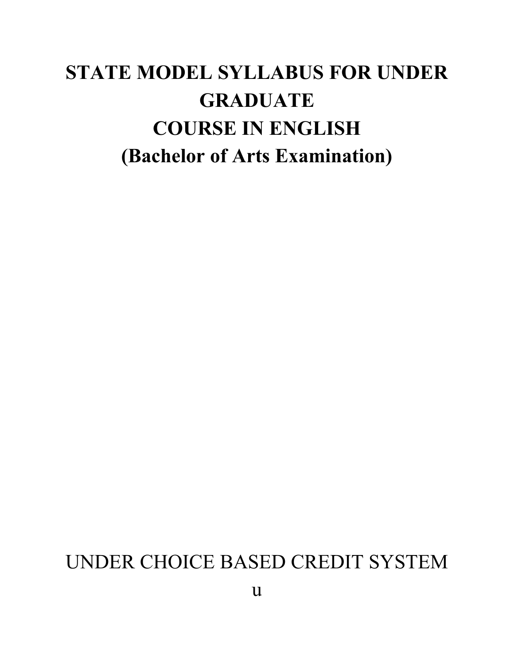# **STATE MODEL SYLLABUS FOR UNDER GRADUATE COURSE IN ENGLISH (Bachelor of Arts Examination)**

# UNDER CHOICE BASED CREDIT SYSTEM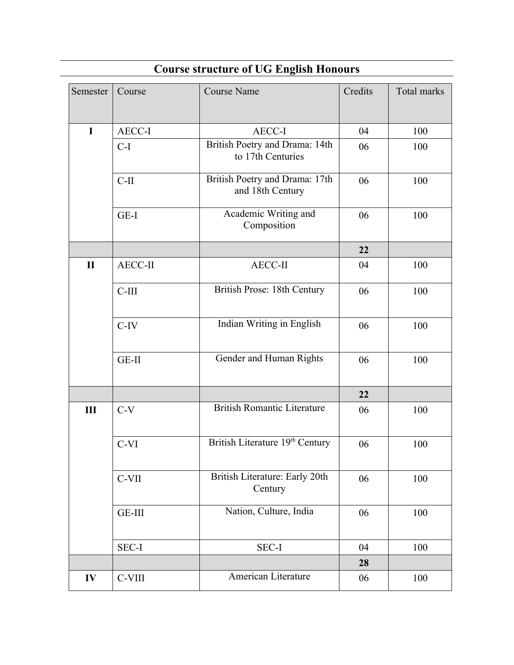| Semester     | Course         | <b>Course Name</b>                                  | Credits | Total marks |
|--------------|----------------|-----------------------------------------------------|---------|-------------|
| $\mathbf I$  | AECC-I         | <b>AECC-I</b>                                       | 04      | 100         |
|              | $C-I$          | British Poetry and Drama: 14th<br>to 17th Centuries | 06      | 100         |
|              | $C-II$         | British Poetry and Drama: 17th<br>and 18th Century  | 06      | 100         |
|              | GE-I           | Academic Writing and<br>Composition                 | 06      | 100         |
|              |                |                                                     | 22      |             |
| $\mathbf{I}$ | <b>AECC-II</b> | AECC-II                                             | 04      | 100         |
|              | $C-III$        | British Prose: 18th Century                         | 06      | 100         |
|              | $C-IV$         | Indian Writing in English                           | 06      | 100         |
|              | GE-II          | Gender and Human Rights                             | 06      | 100         |
|              |                |                                                     | 22      |             |
| Ш            | $C-V$          | <b>British Romantic Literature</b>                  | 06      | 100         |
|              | $C-VI$         | British Literature 19th Century                     | 06      | 100         |
|              | C-VII          | British Literature: Early 20th<br>Century           | 06      | 100         |
|              | GE-III         | Nation, Culture, India                              | 06      | 100         |
|              | SEC-I          | <b>SEC-I</b>                                        | 04      | 100         |
|              |                |                                                     | 28      |             |
| IV           | C-VIII         | American Literature                                 | 06      | 100         |

# **Course structure of UG English Honours**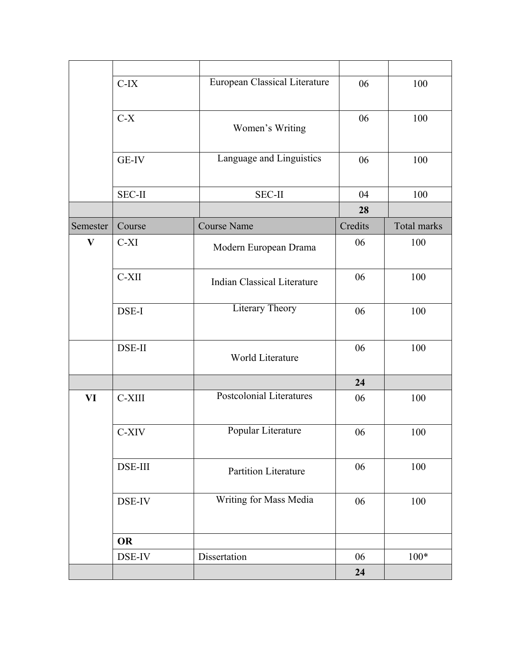|                           | $C-IX$         | European Classical Literature      | 06      | 100         |
|---------------------------|----------------|------------------------------------|---------|-------------|
|                           | $C-X$          | Women's Writing                    | 06      | 100         |
|                           | <b>GE-IV</b>   | Language and Linguistics           | 06      | 100         |
|                           | <b>SEC-II</b>  | <b>SEC-II</b>                      | 04      | 100         |
|                           |                |                                    | 28      |             |
| Semester                  | Course         | <b>Course Name</b>                 | Credits | Total marks |
| $\boldsymbol{\mathrm{V}}$ | $C-XI$         | Modern European Drama              | 06      | 100         |
|                           | C-XII          | <b>Indian Classical Literature</b> | 06      | 100         |
|                           | DSE-I          | <b>Literary Theory</b>             | 06      | 100         |
|                           | DSE-II         | World Literature                   | 06      | 100         |
|                           |                |                                    | 24      |             |
| VI                        | C-XIII         | Postcolonial Literatures           | 06      | 100         |
|                           | C-XIV          | Popular Literature                 | 06      | 100         |
|                           | <b>DSE-III</b> | Partition Literature               | 06      | 100         |
|                           | DSE-IV         | Writing for Mass Media             | 06      | 100         |
|                           | <b>OR</b>      |                                    |         |             |
|                           | DSE-IV         | Dissertation                       | 06      | $100*$      |
|                           |                |                                    | 24      |             |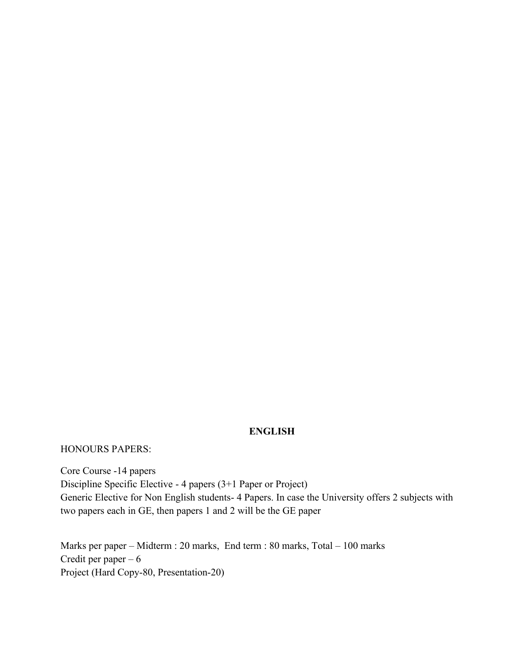## **ENGLISH**

HONOURS PAPERS:

Core Course -14 papers Discipline Specific Elective - 4 papers (3+1 Paper or Project) Generic Elective for Non English students- 4 Papers. In case the University offers 2 subjects with two papers each in GE, then papers 1 and 2 will be the GE paper

Marks per paper – Midterm : 20 marks, End term : 80 marks, Total – 100 marks Credit per paper  $-6$ Project (Hard Copy-80, Presentation-20)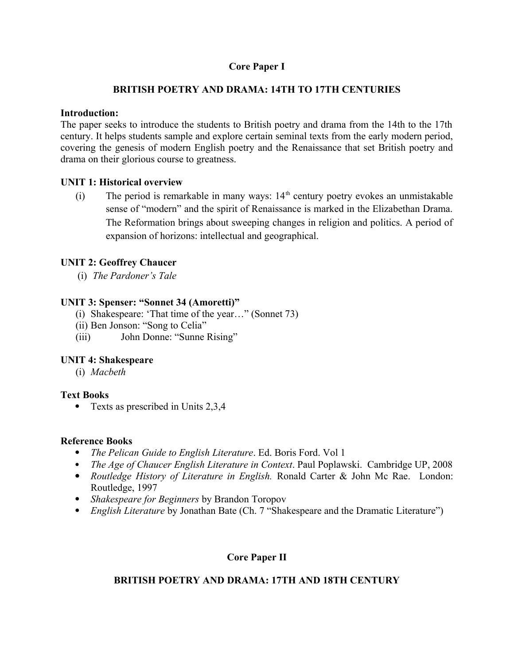## **Core Paper I**

## **BRITISH POETRY AND DRAMA: 14TH TO 17TH CENTURIES**

## **Introduction:**

The paper seeks to introduce the students to British poetry and drama from the 14th to the 17th century. It helps students sample and explore certain seminal texts from the early modern period, covering the genesis of modern English poetry and the Renaissance that set British poetry and drama on their glorious course to greatness.

## **UNIT 1: Historical overview**

(i) The period is remarkable in many ways:  $14<sup>th</sup>$  century poetry evokes an unmistakable sense of "modern" and the spirit of Renaissance is marked in the Elizabethan Drama. The Reformation brings about sweeping changes in religion and politics. A period of expansion of horizons: intellectual and geographical.

## **UNIT 2: Geoffrey Chaucer**

(i) *The Pardoner's Tale*

## **UNIT 3: Spenser: "Sonnet 34 (Amoretti)"**

- (i) Shakespeare: 'That time of the year…" (Sonnet 73)
- (ii) Ben Jonson: "Song to Celia"
- (iii) John Donne: "Sunne Rising"

## **UNIT 4: Shakespeare**

(i) *Macbeth*

## **Text Books**

• Texts as prescribed in Units 2,3,4

#### **Reference Books**

- *The Pelican Guide to English Literature*. Ed. Boris Ford. Vol 1
- *The Age of Chaucer English Literature in Context*[. Paul Poplawski. Cambridge UP](http://www.cambridge.org/us/academic/subjects/literature/english-literature-general-interest/english-literature-context), 2008
- *Routledge History of Literature in English.* Ronald Carter & John Mc Rae. London: Routledge, 1997
- *Shakespeare for Beginners* by Brandon Toropov
- *English Literature* by Jonathan Bate (Ch. 7 "Shakespeare and the Dramatic Literature")

## **Core Paper II**

## **BRITISH POETRY AND DRAMA: 17TH AND 18TH CENTURY**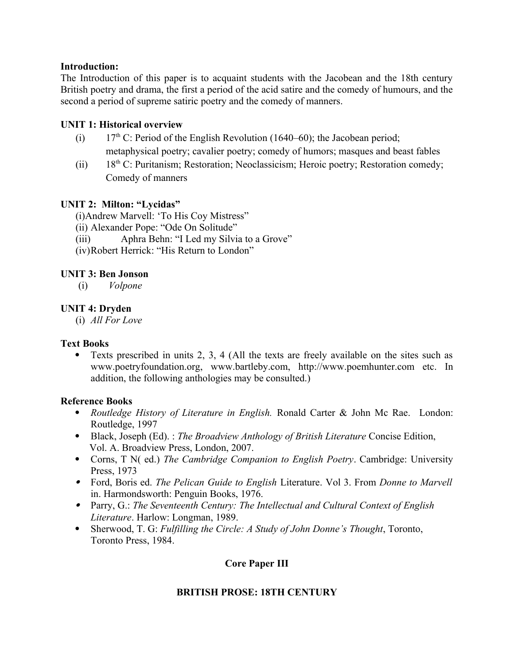## **Introduction:**

The Introduction of this paper is to acquaint students with the Jacobean and the 18th century British poetry and drama, the first a period of the acid satire and the comedy of humours, and the second a period of supreme satiric poetry and the comedy of manners.

## **UNIT 1: Historical overview**

- (i)  $17<sup>th</sup>$  C: Period of the English Revolution (1640–60); the Jacobean period; metaphysical poetry; cavalier poetry; comedy of humors; masques and beast fables
- (ii)  $18<sup>th</sup>$  C: Puritanism; Restoration; Neoclassicism; Heroic poetry; Restoration comedy; Comedy of manners

## **UNIT 2: Milton: "Lycidas"**

(i)Andrew Marvell: 'To His Coy Mistress"

- (ii) Alexander Pope: "Ode On Solitude"
- (iii) Aphra Behn: "I Led my Silvia to a Grove"
- (iv)Robert Herrick: "His Return to London"

## **UNIT 3: Ben Jonson**

(i) *Volpone* 

## **UNIT 4: Dryden**

(i) *All For Love*

#### **Text Books**

 Texts prescribed in units 2, 3, 4 (All the texts are freely available on the sites such as www.poetryfoundation.org, www.bartleby.com, http://www.poemhunter.com etc. In addition, the following anthologies may be consulted.)

#### **Reference Books**

- *Routledge History of Literature in English.* Ronald Carter & John Mc Rae. London: Routledge, 1997
- Black, Joseph (Ed). : *The Broadview Anthology of British Literature* Concise Edition, Vol. A. Broadview Press, London, 2007.
- Corns, T N( ed.) *The Cambridge Companion to English Poetry*. Cambridge: University Press, 1973
- Ford, Boris ed. *The Pelican Guide to English* Literature. Vol 3. From *Donne to Marvell* in. Harmondsworth: Penguin Books, 1976.
- Parry, G.: *The Seventeenth Century: The Intellectual and Cultural Context of English Literature*. Harlow: Longman, 1989.
- Sherwood, T. G: *Fulfilling the Circle: A Study of John Donne's Thought*, Toronto, Toronto Press, 1984.

## **Core Paper III**

## **BRITISH PROSE: 18TH CENTURY**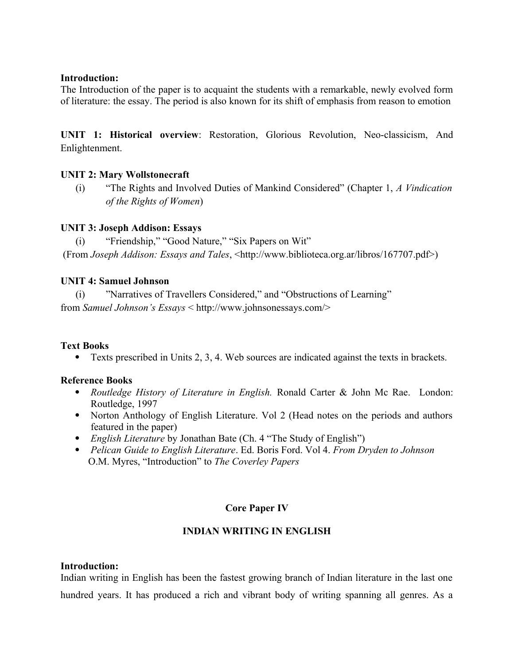#### **Introduction:**

The Introduction of the paper is to acquaint the students with a remarkable, newly evolved form of literature: the essay. The period is also known for its shift of emphasis from reason to emotion

**UNIT 1: Historical overview**: Restoration, Glorious Revolution, Neo-classicism, And Enlightenment.

## **UNIT 2: Mary Wollstonecraft**

(i) "The Rights and Involved Duties of Mankind Considered" (Chapter 1, *A Vindication of the Rights of Women*)

## **UNIT 3: Joseph Addison: Essays**

(i) "Friendship," "Good Nature," "Six Papers on Wit"

(From *Joseph Addison: Essays and Tales*, <http://www.biblioteca.org.ar/libros/167707.pdf>)

## **UNIT 4: Samuel Johnson**

(i) "Narratives of Travellers Considered," and "Obstructions of Learning" from *Samuel Johnson's Essays* < http://www.johnsonessays.com/>

## **Text Books**

Texts prescribed in Units 2, 3, 4. Web sources are indicated against the texts in brackets.

## **Reference Books**

- *Routledge History of Literature in English.* Ronald Carter & John Mc Rae. London: Routledge, 1997
- Norton Anthology of English Literature. Vol 2 (Head notes on the periods and authors featured in the paper)
- *English Literature* by Jonathan Bate (Ch. 4 "The Study of English")
- *Pelican Guide to English Literature*. Ed. Boris Ford. Vol 4. *From Dryden to Johnson* O.M. Myres, "Introduction" to *The Coverley Papers*

## **Core Paper IV**

## **INDIAN WRITING IN ENGLISH**

## **Introduction:**

Indian writing in English has been the fastest growing branch of Indian literature in the last one hundred years. It has produced a rich and vibrant body of writing spanning all genres. As a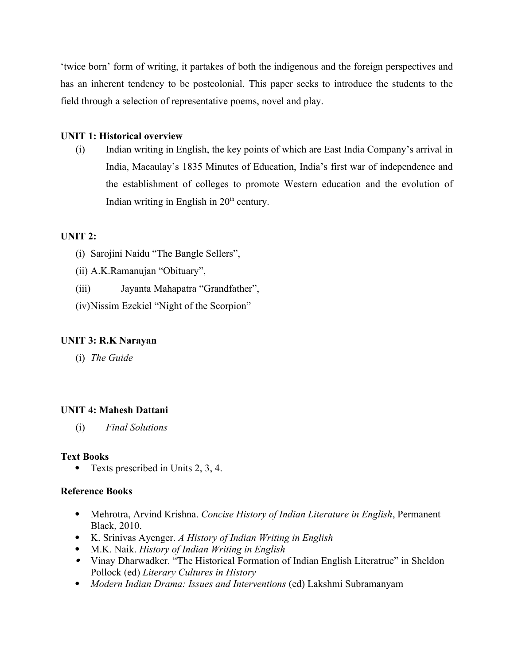'twice born' form of writing, it partakes of both the indigenous and the foreign perspectives and has an inherent tendency to be postcolonial. This paper seeks to introduce the students to the field through a selection of representative poems, novel and play.

## **UNIT 1: Historical overview**

(i) Indian writing in English, the key points of which are East India Company's arrival in India, Macaulay's 1835 Minutes of Education, India's first war of independence and the establishment of colleges to promote Western education and the evolution of Indian writing in English in  $20<sup>th</sup>$  century.

## **UNIT 2:**

(i) Sarojini Naidu "The Bangle Sellers",

(ii) A.K.Ramanujan "Obituary",

(iii) Jayanta Mahapatra "Grandfather",

(iv)Nissim Ezekiel "Night of the Scorpion"

## **UNIT 3: R.K Narayan**

(i) *The Guide*

## **UNIT 4: Mahesh Dattani**

(i) *Final Solutions*

## **Text Books**

Texts prescribed in Units 2, 3, 4.

## **Reference Books**

- Mehrotra, Arvind Krishna. *Concise History of Indian Literature in English*, Permanent Black, 2010.
- K. Srinivas Ayenger. *A History of Indian Writing in English*
- M.K. Naik. *History of Indian Writing in English*
- Vinay Dharwadker. "The Historical Formation of Indian English Literatrue" in Sheldon Pollock (ed) *Literary Cultures in History*
- *Modern Indian Drama: Issues and Interventions* (ed) Lakshmi Subramanyam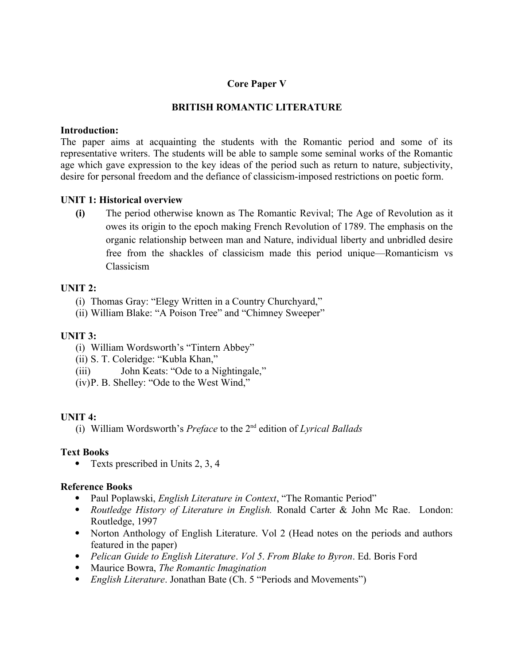## **Core Paper V**

## **BRITISH ROMANTIC LITERATURE**

#### **Introduction:**

The paper aims at acquainting the students with the Romantic period and some of its representative writers. The students will be able to sample some seminal works of the Romantic age which gave expression to the key ideas of the period such as return to nature, subjectivity, desire for personal freedom and the defiance of classicism-imposed restrictions on poetic form.

#### **UNIT 1: Historical overview**

**(i)** The period otherwise known as The Romantic Revival; The Age of Revolution as it owes its origin to the epoch making French Revolution of 1789. The emphasis on the organic relationship between man and Nature, individual liberty and unbridled desire free from the shackles of classicism made this period unique—Romanticism vs Classicism

#### **UNIT 2:**

- (i) Thomas Gray: "Elegy Written in a Country Churchyard,"
- (ii) William Blake: "A Poison Tree" and "Chimney Sweeper"

#### **UNIT 3:**

- (i) William Wordsworth's "Tintern Abbey"
- (ii) S. T. Coleridge: "Kubla Khan,"
- (iii) John Keats: "Ode to a Nightingale,"
- (iv)P. B. Shelley: "Ode to the West Wind,"

#### **UNIT 4:**

(i) William Wordsworth's *Preface* to the 2nd edition of *Lyrical Ballads*

#### **Text Books**

• Texts prescribed in Units 2, 3, 4

#### **Reference Books**

- Paul Poplawski, *English Literature in Context*, "The Romantic Period"
- *Routledge History of Literature in English.* Ronald Carter & John Mc Rae. London: Routledge, 1997
- Norton Anthology of English Literature. Vol 2 (Head notes on the periods and authors featured in the paper)
- *Pelican Guide to English Literature*. *Vol 5*. *From Blake to Byron*. Ed. Boris Ford
- Maurice Bowra, *The Romantic Imagination*
- *English Literature*. Jonathan Bate (Ch. 5 "Periods and Movements")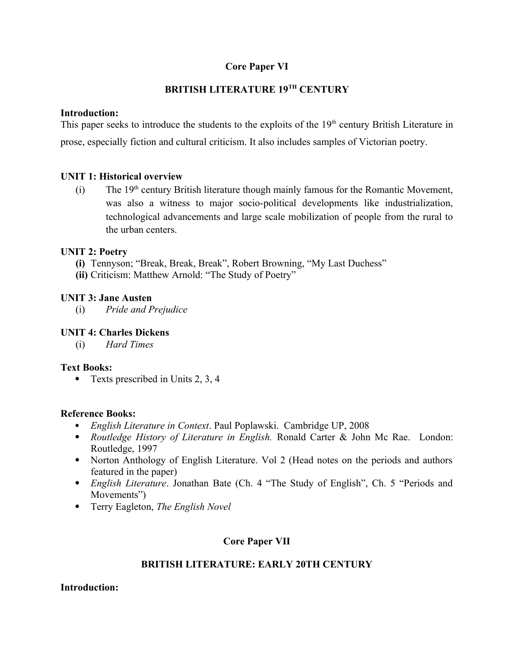## **Core Paper VI**

## **BRITISH LITERATURE 19TH CENTURY**

## **Introduction:**

This paper seeks to introduce the students to the exploits of the  $19<sup>th</sup>$  century British Literature in prose, especially fiction and cultural criticism. It also includes samples of Victorian poetry.

## **UNIT 1: Historical overview**

(i) The  $19<sup>th</sup>$  century British literature though mainly famous for the Romantic Movement, was also a witness to major socio-political developments like industrialization, technological advancements and large scale mobilization of people from the rural to the urban centers.

## **UNIT 2: Poetry**

- **(i)** Tennyson; "Break, Break, Break", Robert Browning, "My Last Duchess"
- **(ii)** Criticism: Matthew Arnold: "The Study of Poetry"

## **UNIT 3: Jane Austen**

(i) *Pride and Prejudice*

## **UNIT 4: Charles Dickens**

(i) *Hard Times*

## **Text Books:**

• Texts prescribed in Units 2, 3, 4

#### **Reference Books:**

- *English Literature in Context*[. Paul Poplawski. Cambridge UP](http://www.cambridge.org/us/academic/subjects/literature/english-literature-general-interest/english-literature-context), 2008
- *Routledge History of Literature in English.* Ronald Carter & John Mc Rae. London: Routledge, 1997
- Norton Anthology of English Literature. Vol 2 (Head notes on the periods and authors featured in the paper)
- *English Literature*. Jonathan Bate (Ch. 4 "The Study of English", Ch. 5 "Periods and Movements")
- Terry Eagleton, *The English Novel*

## **Core Paper VII**

## **BRITISH LITERATURE: EARLY 20TH CENTURY**

#### **Introduction:**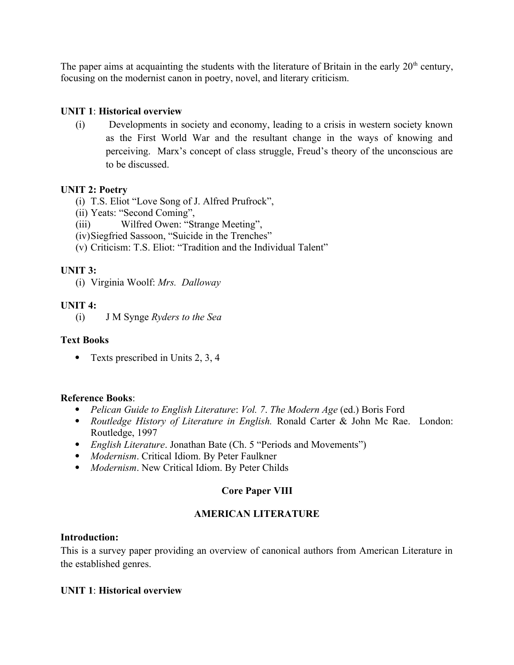The paper aims at acquainting the students with the literature of Britain in the early  $20<sup>th</sup>$  century, focusing on the modernist canon in poetry, novel, and literary criticism.

## **UNIT 1**: **Historical overview**

(i) Developments in society and economy, leading to a crisis in western society known as the First World War and the resultant change in the ways of knowing and perceiving. Marx's concept of class struggle, Freud's theory of the unconscious are to be discussed.

#### **UNIT 2: Poetry**

- (i) T.S. Eliot "Love Song of J. Alfred Prufrock",
- (ii) Yeats: "Second Coming",
- (iii) Wilfred Owen: "Strange Meeting",
- (iv)Siegfried Sassoon, "Suicide in the Trenches"
- (v) Criticism: T.S. Eliot: "Tradition and the Individual Talent"

## **UNIT 3:**

(i) Virginia Woolf: *Mrs. Dalloway*

#### **UNIT 4:**

(i) J M Synge *Ryders to the Sea*

#### **Text Books**

• Texts prescribed in Units 2, 3, 4

#### **Reference Books**:

- *Pelican Guide to English Literature*: *Vol. 7*. *The Modern Age* (ed.) Boris Ford
- *Routledge History of Literature in English.* Ronald Carter & John Mc Rae. London: Routledge, 1997
- *English Literature*. Jonathan Bate (Ch. 5 "Periods and Movements")
- *Modernism*. Critical Idiom. By Peter Faulkner
- *Modernism*. New Critical Idiom. By Peter Childs

#### **Core Paper VIII**

#### **AMERICAN LITERATURE**

#### **Introduction:**

This is a survey paper providing an overview of canonical authors from American Literature in the established genres.

#### **UNIT 1**: **Historical overview**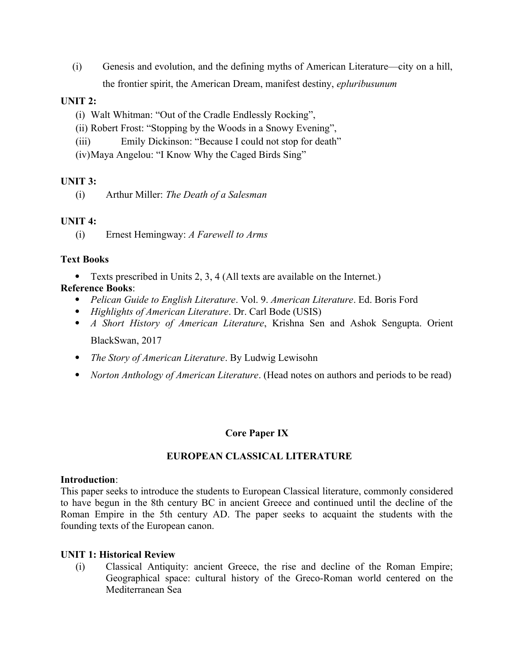(i) Genesis and evolution, and the defining myths of American Literature—city on a hill, the frontier spirit, the American Dream, manifest destiny, *epluribusunum*

## **UNIT 2:**

- (i) Walt Whitman: "Out of the Cradle Endlessly Rocking",
- (ii) Robert Frost: "Stopping by the Woods in a Snowy Evening",
- (iii) Emily Dickinson: "Because I could not stop for death"
- (iv)Maya Angelou: "I Know Why the Caged Birds Sing"

## **UNIT 3:**

(i) Arthur Miller: *The Death of a Salesman*

## **UNIT 4:**

(i) Ernest Hemingway: *A Farewell to Arms*

## **Text Books**

Texts prescribed in Units 2, 3, 4 (All texts are available on the Internet.)

## **Reference Books**:

- *Pelican Guide to English Literature*. Vol. 9. *American Literature*. Ed. Boris Ford
- *Highlights of American Literature*. Dr. Carl Bode (USIS)
- *A Short History of American Literature*, Krishna Sen and Ashok Sengupta. Orient BlackSwan, 2017
- *The Story of American Literature*. By Ludwig Lewisohn
- *Norton Anthology of American Literature*. (Head notes on authors and periods to be read)

## **Core Paper IX**

## **EUROPEAN CLASSICAL LITERATURE**

#### **Introduction**:

This paper seeks to introduce the students to European Classical literature, commonly considered to have begun in the 8th century BC in ancient Greece and continued until the decline of the Roman Empire in the 5th century AD. The paper seeks to acquaint the students with the founding texts of the European canon.

#### **UNIT 1: Historical Review**

(i) Classical Antiquity: ancient Greece, the rise and decline of the Roman Empire; Geographical space: cultural history of the Greco-Roman world centered on the Mediterranean Sea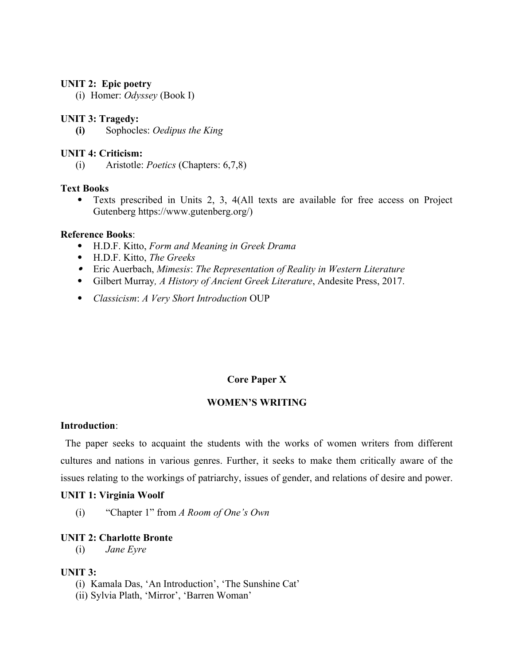#### **UNIT 2: Epic poetry**

(i) Homer: *Odyssey* (Book I)

#### **UNIT 3: Tragedy:**

**(i)** Sophocles: *Oedipus the King*

#### **UNIT 4: Criticism:**

(i) Aristotle: *Poetics* (Chapters: 6,7,8)

#### **Text Books**

 Texts prescribed in Units 2, 3, 4(All texts are available for free access on Project Gutenberg https://www.gutenberg.org/)

#### **Reference Books**:

- H.D.F. Kitto, *Form and Meaning in Greek Drama*
- H.D.F. Kitto, *The Greeks*
- Eric Auerbach, *Mimesis*: *The Representation of Reality in Western Literature*
- Gilbert Murray*, A History of Ancient Greek Literature*, Andesite Press, 2017.
- *Classicism*: *A Very Short Introduction* OUP

#### **Core Paper X**

#### **WOMEN'S WRITING**

#### **Introduction**:

 The paper seeks to acquaint the students with the works of women writers from different cultures and nations in various genres. Further, it seeks to make them critically aware of the issues relating to the workings of patriarchy, issues of gender, and relations of desire and power.

#### **UNIT 1: Virginia Woolf**

(i) "Chapter 1" from *A Room of One's Own*

#### **UNIT 2: Charlotte Bronte**

(i) *Jane Eyre*

#### **UNIT 3:**

- (i) Kamala Das, 'An Introduction', 'The Sunshine Cat'
- (ii) Sylvia Plath, 'Mirror', 'Barren Woman'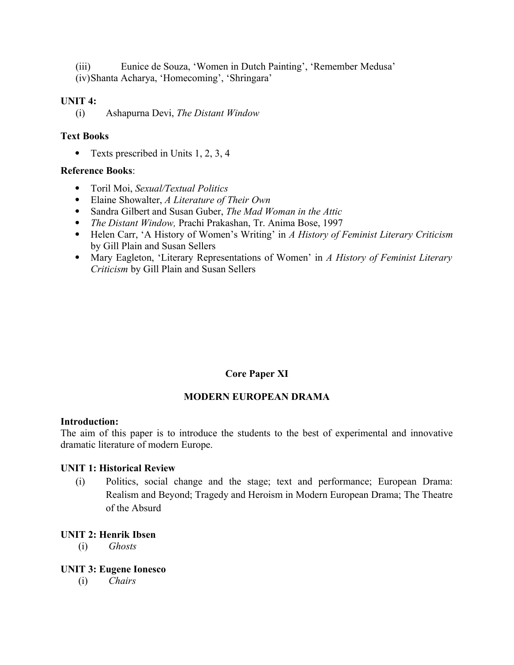(iii) Eunice de Souza, 'Women in Dutch Painting', 'Remember Medusa' (iv)Shanta Acharya, 'Homecoming', 'Shringara'

#### **UNIT 4:**

(i) Ashapurna Devi, *The Distant Window*

#### **Text Books**

• Texts prescribed in Units 1, 2, 3, 4

## **Reference Books**:

- Toril Moi, *Sexual/Textual Politics*
- Elaine Showalter, *A Literature of Their Own*
- Sandra Gilbert and Susan Guber, *The Mad Woman in the Attic*
- *The Distant Window,* Prachi Prakashan, Tr. Anima Bose, 1997
- Helen Carr, 'A History of Women's Writing' in *A History of Feminist Literary Criticism* by Gill Plain and Susan Sellers
- Mary Eagleton, 'Literary Representations of Women' in *A History of Feminist Literary Criticism* by Gill Plain and Susan Sellers

## **Core Paper XI**

#### **MODERN EUROPEAN DRAMA**

#### **Introduction:**

The aim of this paper is to introduce the students to the best of experimental and innovative dramatic literature of modern Europe.

#### **UNIT 1: Historical Review**

(i) Politics, social change and the stage; text and performance; European Drama: Realism and Beyond; Tragedy and Heroism in Modern European Drama; The Theatre of the Absurd

#### **UNIT 2: Henrik Ibsen**

(i) *Ghosts*

#### **UNIT 3: Eugene Ionesco**

(i) *Chairs*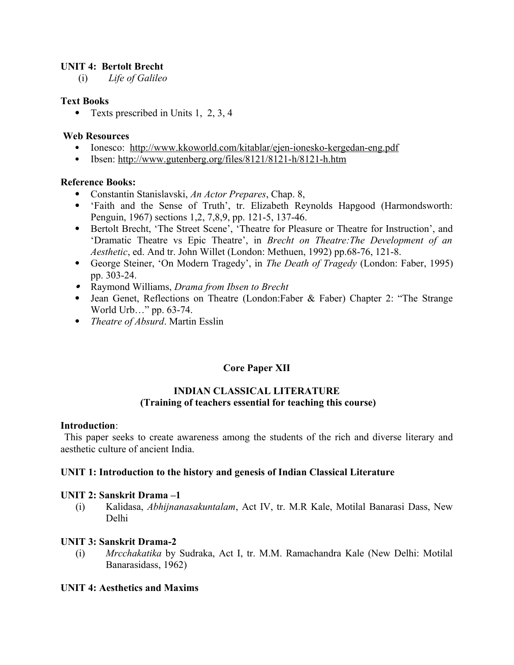## **UNIT 4: Bertolt Brecht**

(i) *Life of Galileo*

#### **Text Books**

• Texts prescribed in Units 1, 2, 3, 4

#### **Web Resources**

- Ionesco: <http://www.kkoworld.com/kitablar/ejen-ionesko-kergedan-eng.pdf>
- Ibsen:<http://www.gutenberg.org/files/8121/8121-h/8121-h.htm>

## **Reference Books:**

- Constantin Stanislavski, *An Actor Prepares*, Chap. 8,
- 'Faith and the Sense of Truth', tr. Elizabeth Reynolds Hapgood (Harmondsworth: Penguin, 1967) sections 1,2, 7,8,9, pp. 121-5, 137-46.
- Bertolt Brecht, 'The Street Scene', 'Theatre for Pleasure or Theatre for Instruction', and 'Dramatic Theatre vs Epic Theatre', in *Brecht on Theatre:The Development of an Aesthetic*, ed. And tr. John Willet (London: Methuen, 1992) pp.68-76, 121-8.
- George Steiner, 'On Modern Tragedy', in *The Death of Tragedy* (London: Faber, 1995) pp. 303-24.
- Raymond Williams, *Drama from Ibsen to Brecht*
- Jean Genet, Reflections on Theatre (London:Faber & Faber) Chapter 2: "The Strange World Urb…" pp. 63-74.
- *Theatre of Absurd*. Martin Esslin

## **Core Paper XII**

## **INDIAN CLASSICAL LITERATURE (Training of teachers essential for teaching this course)**

#### **Introduction**:

 This paper seeks to create awareness among the students of the rich and diverse literary and aesthetic culture of ancient India.

#### **UNIT 1: Introduction to the history and genesis of Indian Classical Literature**

#### **UNIT 2: Sanskrit Drama –1**

(i) Kalidasa, *Abhijnanasakuntalam*, Act IV, tr. M.R Kale, Motilal Banarasi Dass, New Delhi

#### **UNIT 3: Sanskrit Drama-2**

(i) *Mrcchakatika* by Sudraka, Act I, tr. M.M. Ramachandra Kale (New Delhi: Motilal Banarasidass, 1962)

#### **UNIT 4: Aesthetics and Maxims**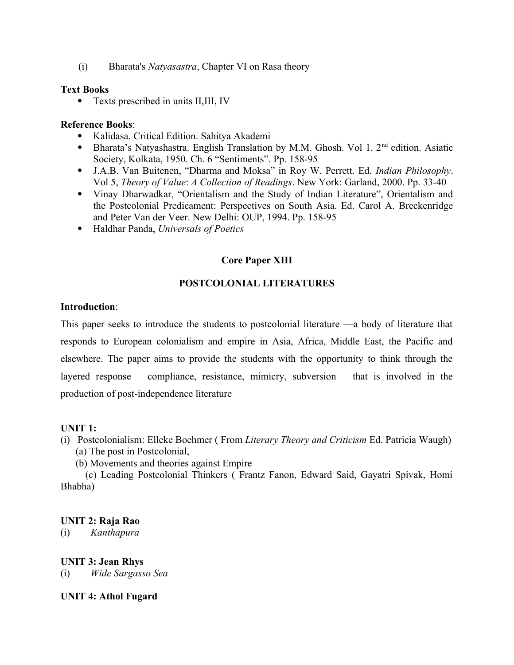(i) Bharata's *Natyasastra*, Chapter VI on Rasa theory

#### **Text Books**

• Texts prescribed in units II, III, IV

#### **Reference Books**:

- Kalidasa. Critical Edition. Sahitya Akademi
- Bharata's Natyashastra. English Translation by M.M. Ghosh. Vol 1.  $2<sup>nd</sup>$  edition. Asiatic Society, Kolkata, 1950. Ch. 6 "Sentiments". Pp. 158-95
- J.A.B. Van Buitenen, "Dharma and Moksa" in Roy W. Perrett. Ed. *Indian Philosophy*. Vol 5, *Theory of Value*: *A Collection of Readings*. New York: Garland, 2000. Pp. 33-40
- Vinay Dharwadkar, "Orientalism and the Study of Indian Literature", Orientalism and the Postcolonial Predicament: Perspectives on South Asia. Ed. Carol A. Breckenridge and Peter Van der Veer. New Delhi: OUP, 1994. Pp. 158-95
- Haldhar Panda, *Universals of Poetics*

## **Core Paper XIII**

## **POSTCOLONIAL LITERATURES**

#### **Introduction**:

This paper seeks to introduce the students to postcolonial literature —a body of literature that responds to European colonialism and empire in Asia, Africa, Middle East, the Pacific and elsewhere. The paper aims to provide the students with the opportunity to think through the layered response – compliance, resistance, mimicry, subversion – that is involved in the production of post-independence literature

#### **UNIT 1:**

- (i) Postcolonialism: Elleke Boehmer ( From *Literary Theory and Criticism* Ed. Patricia Waugh) (a) The post in Postcolonial,
	- (b) Movements and theories against Empire

 (c) Leading Postcolonial Thinkers ( Frantz Fanon, Edward Said, Gayatri Spivak, Homi Bhabha)

#### **UNIT 2: Raja Rao**

(i) *Kanthapura*

#### **UNIT 3: Jean Rhys**

(i) *Wide Sargasso Sea*

#### **UNIT 4: Athol Fugard**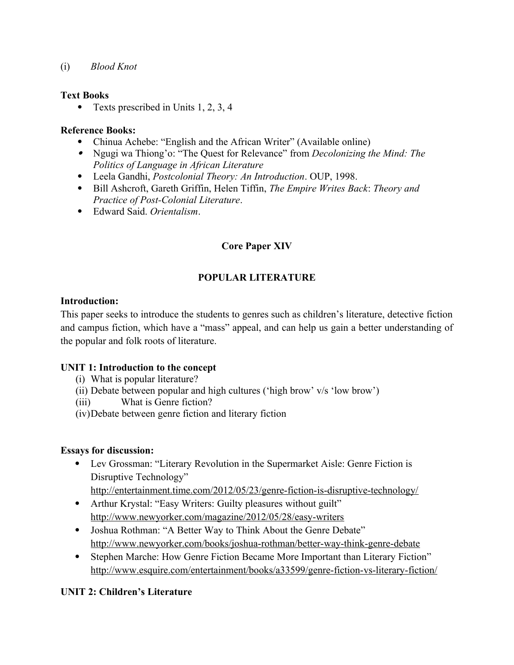(i) *Blood Knot*

## **Text Books**

• Texts prescribed in Units 1, 2, 3, 4

## **Reference Books:**

- Chinua Achebe: "English and the African Writer" (Available online)
- Ngugi wa Thiong'o: "The Quest for Relevance" from *Decolonizing the Mind: The Politics of Language in African Literature*
- Leela Gandhi, *Postcolonial Theory: An Introduction*. OUP, 1998.
- Bill Ashcroft, Gareth Griffin, Helen Tiffin, *The Empire Writes Back*: *Theory and Practice of Post-Colonial Literature*.
- Edward Said. *Orientalism*.

## **Core Paper XIV**

## **POPULAR LITERATURE**

## **Introduction:**

This paper seeks to introduce the students to genres such as children's literature, detective fiction and campus fiction, which have a "mass" appeal, and can help us gain a better understanding of the popular and folk roots of literature.

## **UNIT 1: Introduction to the concept**

- (i) What is popular literature?
- (ii) Debate between popular and high cultures ('high brow' v/s 'low brow')
- (iii) What is Genre fiction?
- (iv)Debate between genre fiction and literary fiction

#### **Essays for discussion:**

 Lev Grossman: "Literary Revolution in the Supermarket Aisle: Genre Fiction is Disruptive Technology"

<http://entertainment.time.com/2012/05/23/genre-fiction-is-disruptive-technology/>

- Arthur Krystal: "Easy Writers: Guilty pleasures without guilt" <http://www.newyorker.com/magazine/2012/05/28/easy-writers>
- Joshua Rothman: "A Better Way to Think About the Genre Debate" <http://www.newyorker.com/books/joshua-rothman/better-way-think-genre-debate>
- Stephen Marche: How Genre Fiction Became More Important than Literary Fiction" <http://www.esquire.com/entertainment/books/a33599/genre-fiction-vs-literary-fiction/>

## **UNIT 2: Children's Literature**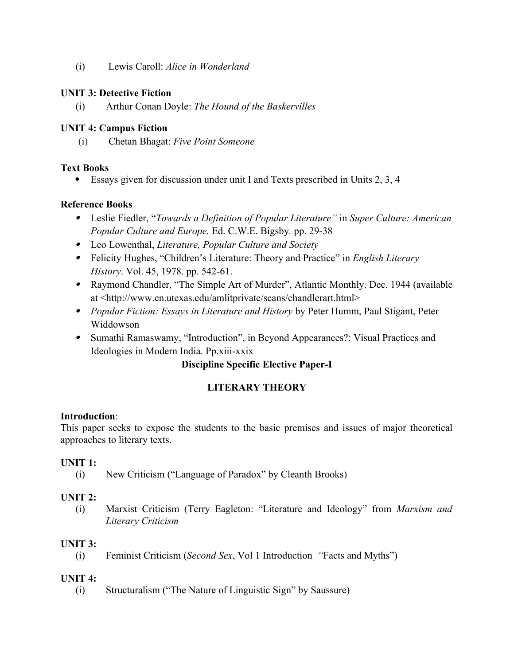(i) Lewis Caroll: *Alice in Wonderland*

## **UNIT 3: Detective Fiction**

(i) Arthur Conan Doyle: *The Hound of the Baskervilles*

## **UNIT 4: Campus Fiction**

(i) Chetan Bhagat: *Five Point Someone* 

## **Text Books**

Essays given for discussion under unit I and Texts prescribed in Units 2, 3, 4

## **Reference Books**

- Leslie Fiedler, "*Towards a Definition of Popular Literature"* in *Super Culture: American Popular Culture and Europe.* Ed. C.W.E. Bigsby*.* pp. 29-38
- Leo Lowenthal, *Literature, Popular Culture and Society*
- Felicity Hughes, "Children's Literature: Theory and Practice" in *English Literary History*. Vol. 45, 1978. pp. 542-61.
- Raymond Chandler, "The Simple Art of Murder", Atlantic Monthly. Dec. 1944 (available at <http://www.en.utexas.edu/amlitprivate/scans/chandlerart.html>
- *Popular Fiction: Essays in Literature and History* by Peter Humm, Paul Stigant, Peter Widdowson
- Sumathi Ramaswamy, "Introduction", in Beyond Appearances?: Visual Practices and Ideologies in Modern India. Pp.xiii-xxix

## **Discipline Specific Elective Paper-I**

## **LITERARY THEORY**

#### **Introduction**:

This paper seeks to expose the students to the basic premises and issues of major theoretical approaches to literary texts.

#### **UNIT 1:**

(i) New Criticism ("Language of Paradox" by Cleanth Brooks)

## **UNIT 2:**

(i) Marxist Criticism (Terry Eagleton: "Literature and Ideology" from *Marxism and Literary Criticism*

## **UNIT 3:**

(i) Feminist Criticism (*Second Sex*, Vol 1 Introduction *"*Facts and Myths")

## **UNIT 4:**

(i) Structuralism ("The Nature of Linguistic Sign" by Saussure)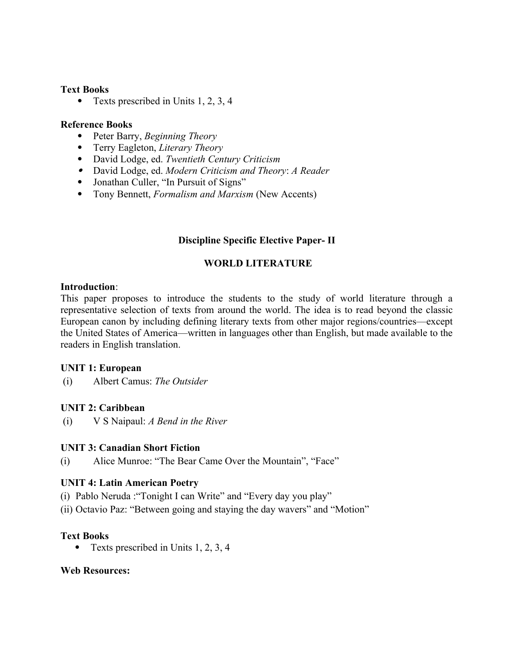#### **Text Books**

• Texts prescribed in Units 1, 2, 3, 4

#### **Reference Books**

- Peter Barry, *Beginning Theory*
- Terry Eagleton, *Literary Theory*
- David Lodge, ed. *Twentieth Century Criticism*
- David Lodge, ed. *Modern Criticism and Theory*: *A Reader*
- Jonathan Culler, "In Pursuit of Signs"
- Tony Bennett, *Formalism and Marxism* (New Accents)

## **Discipline Specific Elective Paper- II**

## **WORLD LITERATURE**

#### **Introduction**:

This paper proposes to introduce the students to the study of world literature through a representative selection of texts from around the world. The idea is to read beyond the classic European canon by including defining literary texts from other major regions/countries—except the United States of America—written in languages other than English, but made available to the readers in English translation.

#### **UNIT 1: European**

(i) Albert Camus: *The Outsider*

#### **UNIT 2: Caribbean**

(i) V S Naipaul: *A Bend in the River*

#### **UNIT 3: Canadian Short Fiction**

(i) Alice Munroe: "The Bear Came Over the Mountain", "Face"

#### **UNIT 4: Latin American Poetry**

- (i) Pablo Neruda :"Tonight I can Write" and "Every day you play"
- (ii) Octavio Paz: "Between going and staying the day wavers" and "Motion"

## **Text Books**

• Texts prescribed in Units 1, 2, 3, 4

#### **Web Resources:**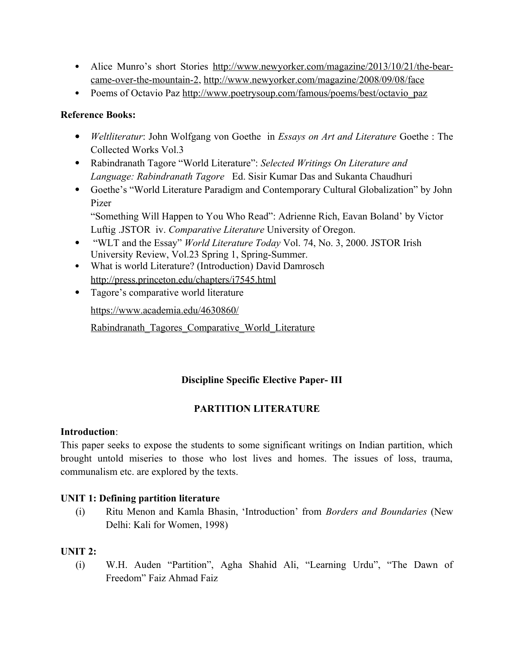- Alice Munro's short Stories [http://www.newyorker.com/magazine/2013/10/21/the-bear](http://www.newyorker.com/magazine/2013/10/21/the-bear-came-over-the-mountain-2)[came-over-the-mountain-2,](http://www.newyorker.com/magazine/2013/10/21/the-bear-came-over-the-mountain-2) <http://www.newyorker.com/magazine/2008/09/08/face>
- Poems of Octavio Paz [http://www.poetrysoup.com/famous/poems/best/octavio\\_paz](http://www.poetrysoup.com/famous/poems/best/octavio_paz)

## **Reference Books:**

- *Weltliteratur*: John Wolfgang von Goethe in *Essays on Art and Literature* Goethe : The Collected Works Vol.3
- Rabindranath Tagore "World Literature": *Selected Writings On Literature and Language: Rabindranath Tagore* Ed. Sisir Kumar Das and Sukanta Chaudhuri
- Goethe's "World Literature Paradigm and Contemporary Cultural Globalization" by John Pizer "Something Will Happen to You Who Read": Adrienne Rich, Eavan Boland' by Victor Luftig .JSTOR iv. *Comparative Literature* University of Oregon.
- "WLT and the Essay" *World Literature Today* Vol. 74, No. 3, 2000. JSTOR Irish University Review, Vol.23 Spring 1, Spring-Summer.
- What is world Literature? (Introduction) David Damrosch <http://press.princeton.edu/chapters/i7545.html>
- Tagore's comparative world literature

[https://www.academia.edu/4630860/](https://www.academia.edu/4630860/Rabindranath_Tagores_Comparative_World_Literature)

Rabindranath Tagores Comparative World Literature

## **Discipline Specific Elective Paper- III**

## **PARTITION LITERATURE**

## **Introduction**:

This paper seeks to expose the students to some significant writings on Indian partition, which brought untold miseries to those who lost lives and homes. The issues of loss, trauma, communalism etc. are explored by the texts.

## **UNIT 1: Defining partition literature**

(i) Ritu Menon and Kamla Bhasin, 'Introduction' from *Borders and Boundaries* (New Delhi: Kali for Women, 1998)

## **UNIT 2:**

(i) W.H. Auden "Partition", Agha Shahid Ali, "Learning Urdu", "The Dawn of Freedom" Faiz Ahmad Faiz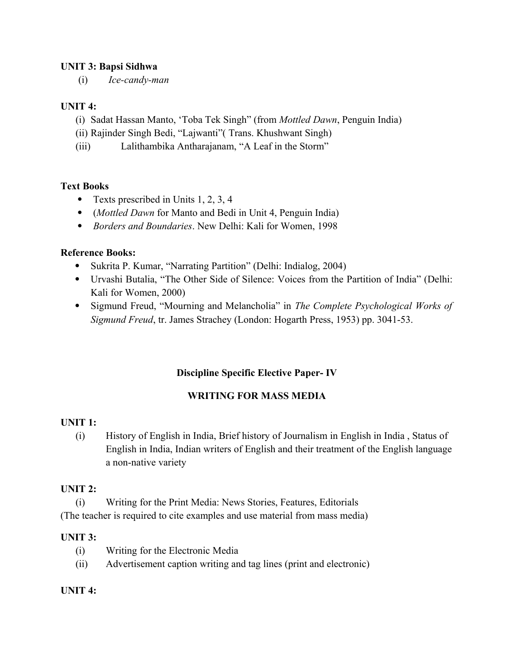## **UNIT 3: Bapsi Sidhwa**

(i) *Ice-candy-man*

## **UNIT 4:**

- (i) Sadat Hassan Manto, 'Toba Tek Singh" (from *Mottled Dawn*, Penguin India)
- (ii) Rajinder Singh Bedi, "Lajwanti"( Trans. Khushwant Singh)

(iii) Lalithambika Antharajanam, "A Leaf in the Storm"

## **Text Books**

- Texts prescribed in Units 1, 2, 3, 4
- (*Mottled Dawn* for Manto and Bedi in Unit 4, Penguin India)
- *Borders and Boundaries*. New Delhi: Kali for Women, 1998

## **Reference Books:**

- Sukrita P. Kumar, "Narrating Partition" (Delhi: Indialog, 2004)
- Urvashi Butalia, "The Other Side of Silence: Voices from the Partition of India" (Delhi: Kali for Women, 2000)
- Sigmund Freud, "Mourning and Melancholia" in *The Complete Psychological Works of Sigmund Freud*, tr. James Strachey (London: Hogarth Press, 1953) pp. 3041-53.

## **Discipline Specific Elective Paper- IV**

## **WRITING FOR MASS MEDIA**

## **UNIT 1:**

(i) History of English in India, Brief history of Journalism in English in India , Status of English in India, Indian writers of English and their treatment of the English language a non-native variety

#### **UNIT 2:**

(i) Writing for the Print Media: News Stories, Features, Editorials (The teacher is required to cite examples and use material from mass media)

## **UNIT 3:**

- (i) Writing for the Electronic Media
- (ii) Advertisement caption writing and tag lines (print and electronic)

#### **UNIT 4:**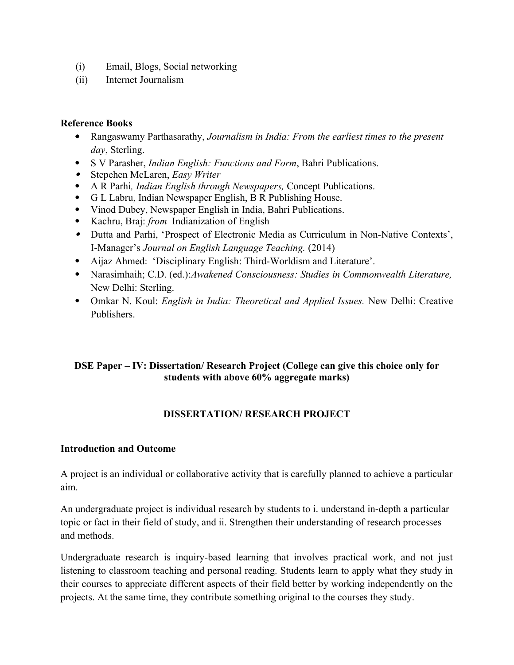- (i) Email, Blogs, Social networking
- (ii) Internet Journalism

#### **Reference Books**

- Rangaswamy Parthasarathy, *Journalism in India: From the earliest times to the present day*, Sterling.
- S V Parasher, *Indian English: Functions and Form*, Bahri Publications.
- Stepehen McLaren, *Easy Writer*
- A R Parhi*, Indian English through Newspapers,* Concept Publications.
- G L Labru, Indian Newspaper English, B R Publishing House.
- Vinod Dubey, Newspaper English in India, Bahri Publications.
- Kachru, Braj: *from* Indianization of English
- Dutta and Parhi, 'Prospect of Electronic Media as Curriculum in Non-Native Contexts', I-Manager's *Journal on English Language Teaching.* (2014)
- Aijaz Ahmed: 'Disciplinary English: Third-Worldism and Literature'.
- Narasimhaih; C.D. (ed.):*Awakened Consciousness: Studies in Commonwealth Literature,* New Delhi: Sterling.
- Omkar N. Koul: *English in India: Theoretical and Applied Issues.* New Delhi: Creative Publishers.

## **DSE Paper – IV: Dissertation/ Research Project (College can give this choice only for students with above 60% aggregate marks)**

## **DISSERTATION/ RESEARCH PROJECT**

#### **Introduction and Outcome**

A project is an individual or collaborative activity that is carefully planned to achieve a particular aim.

An undergraduate project is individual research by students to i. understand in-depth a particular topic or fact in their field of study, and ii. Strengthen their understanding of research processes and methods.

Undergraduate research is inquiry-based learning that involves practical work, and not just listening to classroom teaching and personal reading. Students learn to apply what they study in their courses to appreciate different aspects of their field better by working independently on the projects. At the same time, they contribute something original to the courses they study.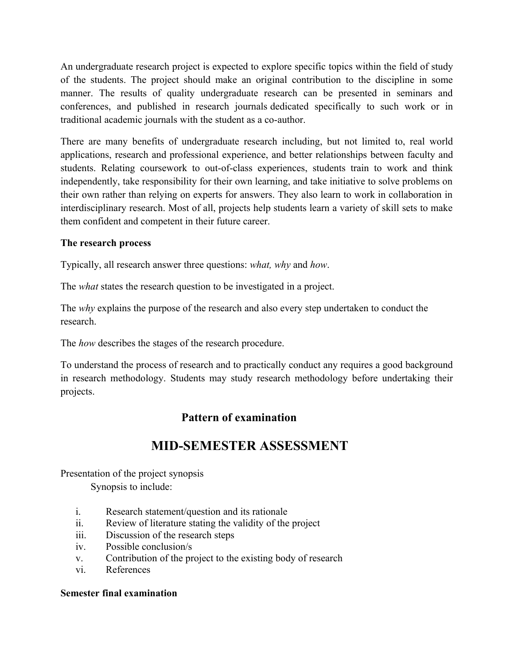An undergraduate research project is expected to explore specific topics within the field of study of the students. The project should make an original contribution to the discipline in some manner. The results of quality undergraduate research can be presented in seminars and conferences, and published in research journals dedicated specifically to such work or in traditional academic journals with the student as a co-author.

There are many benefits of undergraduate research including, but not limited to, real world applications, research and professional experience, and better relationships between faculty and students. Relating coursework to out-of-class experiences, students train to work and think independently, take responsibility for their own learning, and take initiative to solve problems on their own rather than relying on experts for answers. They also learn to work in collaboration in interdisciplinary research. Most of all, projects help students learn a variety of skill sets to make them confident and competent in their future career.

## **The research process**

Typically, all research answer three questions: *what, why* and *how*.

The *what* states the research question to be investigated in a project.

The *why* explains the purpose of the research and also every step undertaken to conduct the research.

The *how* describes the stages of the research procedure.

To understand the process of research and to practically conduct any requires a good background in research methodology. Students may study research methodology before undertaking their projects.

## **Pattern of examination**

## **MID-SEMESTER ASSESSMENT**

Presentation of the project synopsis Synopsis to include:

- i. Research statement/question and its rationale
- ii. Review of literature stating the validity of the project
- iii. Discussion of the research steps
- iv. Possible conclusion/s
- v. Contribution of the project to the existing body of research
- vi. References

## **Semester final examination**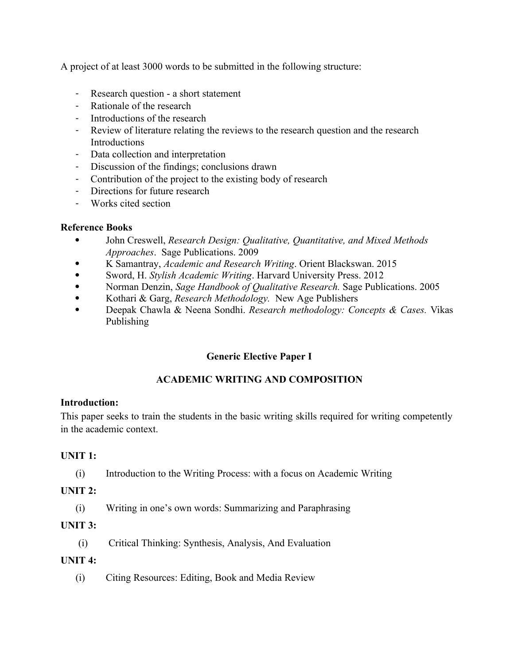A project of at least 3000 words to be submitted in the following structure:

- Research question a short statement
- Rationale of the research
- Introductions of the research
- Review of literature relating the reviews to the research question and the research **Introductions**
- Data collection and interpretation
- Discussion of the findings; conclusions drawn
- Contribution of the project to the existing body of research
- Directions for future research
- Works cited section

## **Reference Books**

- John Creswell, *Research Design: Qualitative, Quantitative, and Mixed Methods Approaches*. Sage Publications. 2009
- K Samantray, *Academic and Research Writing*. Orient Blackswan. 2015
- Sword, H. *Stylish Academic Writing*. Harvard University Press. 2012
- Norman Denzin, *Sage Handbook of Qualitative Research.* Sage Publications. 2005
- Kothari & Garg, *Research Methodology.* New Age Publishers
- Deepak Chawla & Neena Sondhi. *Research methodology: Concepts & Cases.* Vikas Publishing

## **Generic Elective Paper I**

## **ACADEMIC WRITING AND COMPOSITION**

## **Introduction:**

This paper seeks to train the students in the basic writing skills required for writing competently in the academic context.

## **UNIT 1:**

(i) Introduction to the Writing Process: with a focus on Academic Writing

## **UNIT 2:**

(i) Writing in one's own words: Summarizing and Paraphrasing

## **UNIT 3:**

(i) Critical Thinking: Synthesis, Analysis, And Evaluation

## **UNIT 4:**

(i) Citing Resources: Editing, Book and Media Review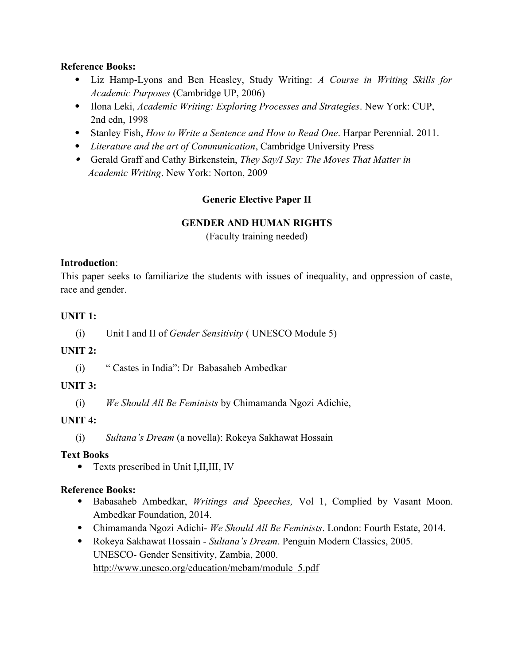## **Reference Books:**

- Liz Hamp-Lyons and Ben Heasley, Study Writing: *A Course in Writing Skills for Academic Purposes* (Cambridge UP, 2006)
- Ilona Leki, *Academic Writing: Exploring Processes and Strategies*. New York: CUP, 2nd edn, 1998
- Stanley Fish, *How to Write a Sentence and How to Read One*. Harpar Perennial. 2011.
- *Literature and the art of Communication*, Cambridge University Press
- Gerald Graff and Cathy Birkenstein, *They Say/I Say: The Moves That Matter in Academic Writing*. New York: Norton, 2009

## **Generic Elective Paper II**

## **GENDER AND HUMAN RIGHTS**

(Faculty training needed)

## **Introduction**:

This paper seeks to familiarize the students with issues of inequality, and oppression of caste, race and gender.

## **UNIT 1:**

(i) Unit I and II of *Gender Sensitivity* ( UNESCO Module 5)

## **UNIT 2:**

(i) " Castes in India": Dr Babasaheb Ambedkar

## **UNIT 3:**

(i) *We Should All Be Feminists* by Chimamanda Ngozi Adichie,

## **UNIT 4:**

(i) *Sultana's Dream* (a novella): Rokeya Sakhawat Hossain

## **Text Books**

Texts prescribed in Unit I,II,III, IV

## **Reference Books:**

- Babasaheb Ambedkar, *Writings and Speeches,* Vol 1, Complied by Vasant Moon. Ambedkar Foundation, 2014.
- Chimamanda Ngozi Adichi- *We Should All Be Feminists*. London: Fourth Estate, 2014.
- Rokeya Sakhawat Hossain *Sultana's Dream*. Penguin Modern Classics, 2005. UNESCO- Gender Sensitivity, Zambia, 2000. [http://www.unesco.org/education/mebam/module\\_5.pdf](http://www.unesco.org/education/mebam/module_5.pdf)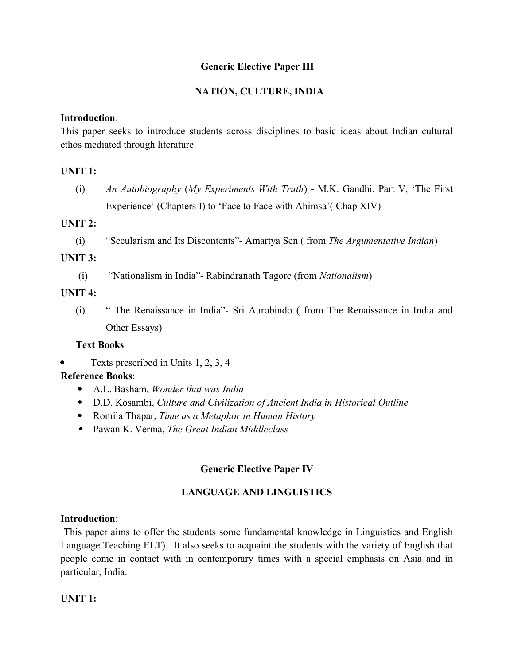## **Generic Elective Paper III**

## **NATION, CULTURE, INDIA**

#### **Introduction**:

This paper seeks to introduce students across disciplines to basic ideas about Indian cultural ethos mediated through literature.

#### **UNIT 1:**

(i) *An Autobiography* (*My Experiments With Truth*) - M.K. Gandhi. Part V, 'The First Experience' (Chapters I) to 'Face to Face with Ahimsa'( Chap XIV)

#### **UNIT 2:**

(i) "Secularism and Its Discontents"- Amartya Sen ( from *The Argumentative Indian*)

#### **UNIT 3:**

(i) "Nationalism in India"- Rabindranath Tagore (from *Nationalism*)

#### **UNIT 4:**

(i) " The Renaissance in India"- Sri Aurobindo ( from The Renaissance in India and Other Essays)

#### **Text Books**

 $\bullet$  Texts prescribed in Units 1, 2, 3, 4

#### **Reference Books**:

- A.L. Basham, *Wonder that was India*
- D.D. Kosambi, *Culture and Civilization of Ancient India in Historical Outline*
- Romila Thapar, *Time as a Metaphor in Human History*
- Pawan K. Verma, *The Great Indian Middleclass*

#### **Generic Elective Paper IV**

#### **LANGUAGE AND LINGUISTICS**

#### **Introduction**:

 This paper aims to offer the students some fundamental knowledge in Linguistics and English Language Teaching ELT). It also seeks to acquaint the students with the variety of English that people come in contact with in contemporary times with a special emphasis on Asia and in particular, India.

#### **UNIT 1:**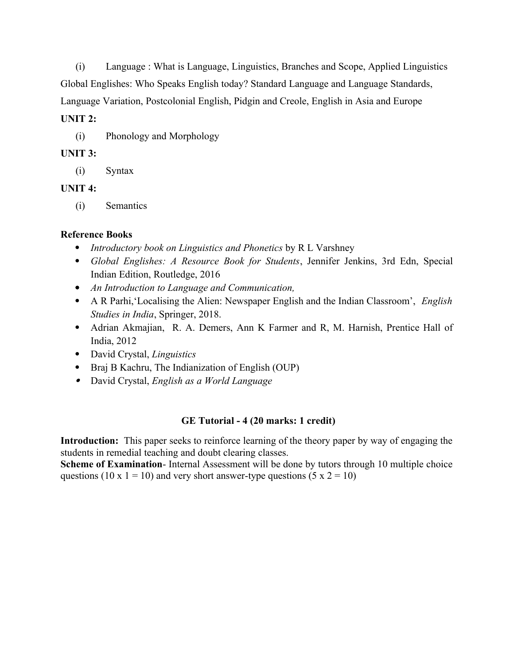(i) Language : What is Language, Linguistics, Branches and Scope, Applied Linguistics Global Englishes: Who Speaks English today? Standard Language and Language Standards, Language Variation, Postcolonial English, Pidgin and Creole, English in Asia and Europe

#### **UNIT 2:**

(i) Phonology and Morphology

## **UNIT 3:**

(i) Syntax

## **UNIT 4:**

(i) Semantics

## **Reference Books**

- *Introductory book on Linguistics and Phonetics* by R L Varshney
- *Global Englishes: A Resource Book for Students*, Jennifer Jenkins, 3rd Edn, Special Indian Edition, Routledge, 2016
- *An Introduction to Language and Communication,*
- A R Parhi,'Localising the Alien: Newspaper English and the Indian Classroom', *English Studies in India*, Springer, 2018.
- Adrian Akmajian, R. A. Demers, Ann K Farmer and R, M. Harnish, Prentice Hall of India, 2012
- David Crystal, *Linguistics*
- Braj B Kachru, The Indianization of English (OUP)
- David Crystal, *English as a World Language*

## **GE Tutorial - 4 (20 marks: 1 credit)**

**Introduction:** This paper seeks to reinforce learning of the theory paper by way of engaging the students in remedial teaching and doubt clearing classes.

**Scheme of Examination**- Internal Assessment will be done by tutors through 10 multiple choice questions (10 x 1 = 10) and very short answer-type questions (5 x 2 = 10)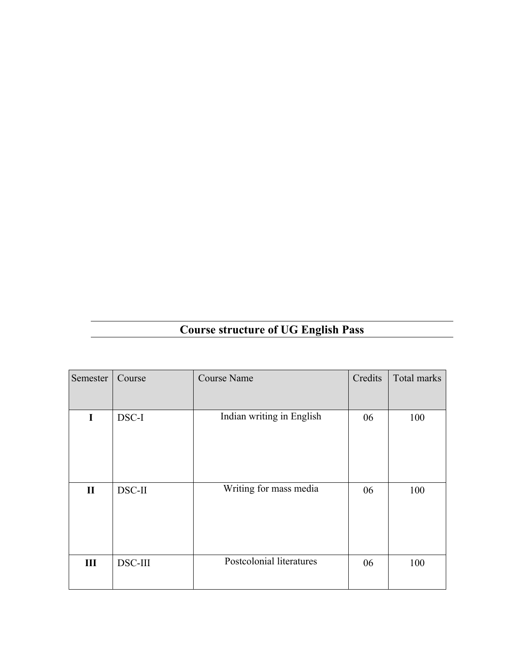# **Course structure of UG English Pass**

| Semester     | Course  | <b>Course Name</b>        | Credits | Total marks |
|--------------|---------|---------------------------|---------|-------------|
|              |         |                           |         |             |
| I            | DSC-I   | Indian writing in English | 06      | 100         |
|              |         |                           |         |             |
|              |         |                           |         |             |
|              |         |                           |         |             |
| $\mathbf{I}$ | DSC-II  | Writing for mass media    | 06      | 100         |
|              |         |                           |         |             |
|              |         |                           |         |             |
|              |         |                           |         |             |
| III          | DSC-III | Postcolonial literatures  | 06      | 100         |
|              |         |                           |         |             |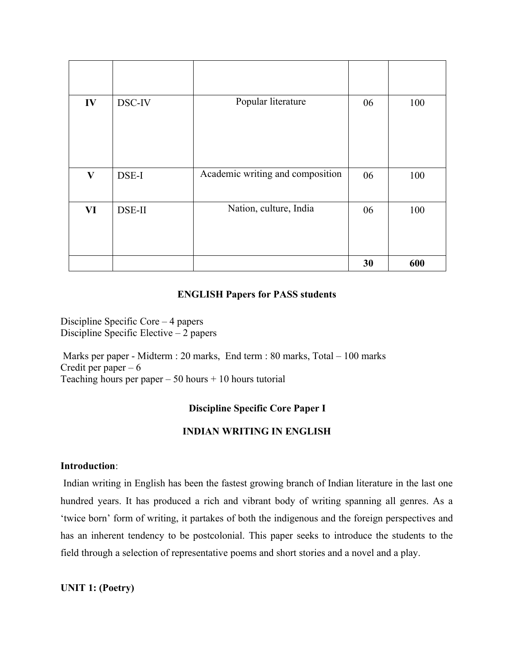| IV           | DSC-IV | Popular literature               | 06 | 100 |
|--------------|--------|----------------------------------|----|-----|
| $\mathbf{V}$ | DSE-I  | Academic writing and composition | 06 | 100 |
| <b>VI</b>    | DSE-II | Nation, culture, India           | 06 | 100 |
|              |        |                                  | 30 | 600 |

## **ENGLISH Papers for PASS students**

Discipline Specific Core – 4 papers Discipline Specific Elective – 2 papers

 Marks per paper - Midterm : 20 marks, End term : 80 marks, Total – 100 marks Credit per paper  $-6$ Teaching hours per paper  $-50$  hours  $+10$  hours tutorial

#### **Discipline Specific Core Paper I**

#### **INDIAN WRITING IN ENGLISH**

#### **Introduction**:

 Indian writing in English has been the fastest growing branch of Indian literature in the last one hundred years. It has produced a rich and vibrant body of writing spanning all genres. As a 'twice born' form of writing, it partakes of both the indigenous and the foreign perspectives and has an inherent tendency to be postcolonial. This paper seeks to introduce the students to the field through a selection of representative poems and short stories and a novel and a play.

**UNIT 1: (Poetry)**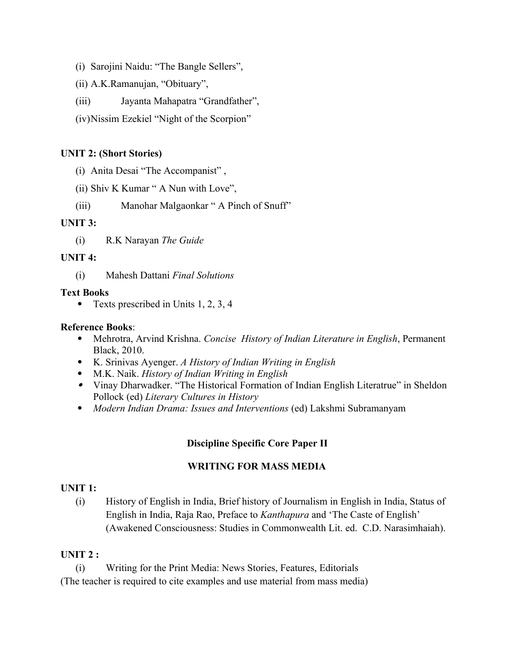- (i) Sarojini Naidu: "The Bangle Sellers",
- (ii) A.K.Ramanujan, "Obituary",
- (iii) Jayanta Mahapatra "Grandfather",
- (iv)Nissim Ezekiel "Night of the Scorpion"

## **UNIT 2: (Short Stories)**

- (i) Anita Desai "The Accompanist" ,
- (ii) Shiv K Kumar " A Nun with Love",
- (iii) Manohar Malgaonkar " A Pinch of Snuff"

## **UNIT 3:**

(i) R.K Narayan *The Guide*

## **UNIT 4:**

(i) Mahesh Dattani *Final Solutions*

## **Text Books**

• Texts prescribed in Units 1, 2, 3, 4

## **Reference Books**:

- Mehrotra, Arvind Krishna. *Concise History of Indian Literature in English*, Permanent Black, 2010.
- K. Srinivas Ayenger. *A History of Indian Writing in English*
- M.K. Naik. *History of Indian Writing in English*
- Vinay Dharwadker. "The Historical Formation of Indian English Literatrue" in Sheldon Pollock (ed) *Literary Cultures in History*
- *Modern Indian Drama: Issues and Interventions* (ed) Lakshmi Subramanyam

## **Discipline Specific Core Paper II**

## **WRITING FOR MASS MEDIA**

## **UNIT 1:**

(i) History of English in India, Brief history of Journalism in English in India, Status of English in India, Raja Rao, Preface to *Kanthapura* and 'The Caste of English' (Awakened Consciousness: Studies in Commonwealth Lit. ed. C.D. Narasimhaiah).

## **UNIT 2 :**

(i) Writing for the Print Media: News Stories, Features, Editorials

(The teacher is required to cite examples and use material from mass media)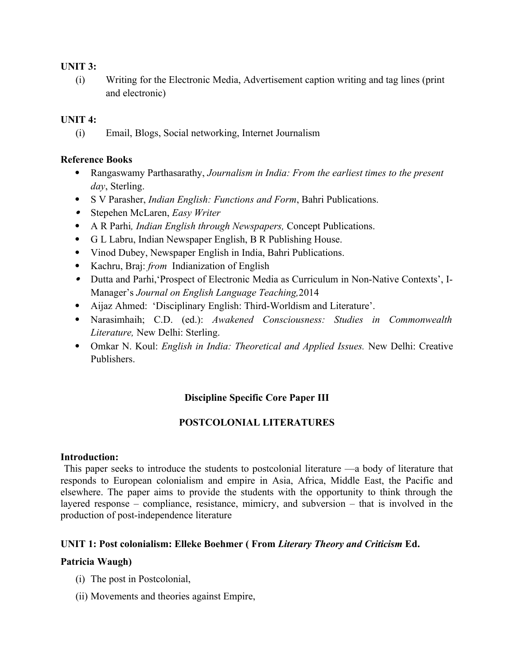#### **UNIT 3:**

(i) Writing for the Electronic Media, Advertisement caption writing and tag lines (print and electronic)

## **UNIT 4:**

(i) Email, Blogs, Social networking, Internet Journalism

## **Reference Books**

- Rangaswamy Parthasarathy, *Journalism in India: From the earliest times to the present day*, Sterling.
- S V Parasher, *Indian English: Functions and Form*, Bahri Publications.
- Stepehen McLaren, *Easy Writer*
- A R Parhi*, Indian English through Newspapers,* Concept Publications.
- G L Labru, Indian Newspaper English, B R Publishing House.
- Vinod Dubey, Newspaper English in India, Bahri Publications.
- Kachru, Braj: *from* Indianization of English
- Dutta and Parhi,'Prospect of Electronic Media as Curriculum in Non-Native Contexts', I-Manager's *Journal on English Language Teaching,*2014
- Aijaz Ahmed: 'Disciplinary English: Third-Worldism and Literature'.
- Narasimhaih; C.D. (ed.): *Awakened Consciousness: Studies in Commonwealth Literature,* New Delhi: Sterling.
- Omkar N. Koul: *English in India: Theoretical and Applied Issues.* New Delhi: Creative Publishers.

## **Discipline Specific Core Paper III**

## **POSTCOLONIAL LITERATURES**

#### **Introduction:**

 This paper seeks to introduce the students to postcolonial literature —a body of literature that responds to European colonialism and empire in Asia, Africa, Middle East, the Pacific and elsewhere. The paper aims to provide the students with the opportunity to think through the layered response – compliance, resistance, mimicry, and subversion – that is involved in the production of post-independence literature

## **UNIT 1: Post colonialism: Elleke Boehmer ( From** *Literary Theory and Criticism* **Ed.**

## **Patricia Waugh)**

- (i) The post in Postcolonial,
- (ii) Movements and theories against Empire,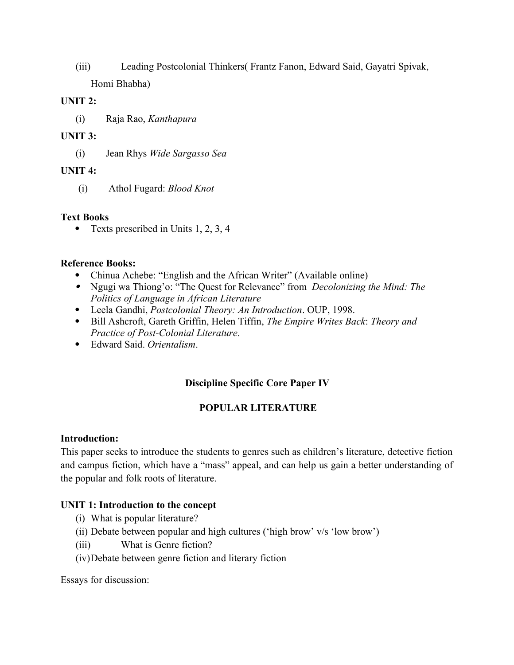(iii) Leading Postcolonial Thinkers( Frantz Fanon, Edward Said, Gayatri Spivak, Homi Bhabha)

#### **UNIT 2:**

(i) Raja Rao, *Kanthapura*

## **UNIT 3:**

(i) Jean Rhys *Wide Sargasso Sea*

## **UNIT 4:**

(i) Athol Fugard: *Blood Knot*

## **Text Books**

• Texts prescribed in Units 1, 2, 3, 4

## **Reference Books:**

- Chinua Achebe: "English and the African Writer" (Available online)
- Ngugi wa Thiong'o: "The Quest for Relevance" from *Decolonizing the Mind: The Politics of Language in African Literature*
- Leela Gandhi, *Postcolonial Theory: An Introduction*. OUP, 1998.
- Bill Ashcroft, Gareth Griffin, Helen Tiffin, *The Empire Writes Back*: *Theory and Practice of Post-Colonial Literature*.
- Edward Said. *Orientalism*.

## **Discipline Specific Core Paper IV**

## **POPULAR LITERATURE**

#### **Introduction:**

This paper seeks to introduce the students to genres such as children's literature, detective fiction and campus fiction, which have a "mass" appeal, and can help us gain a better understanding of the popular and folk roots of literature.

## **UNIT 1: Introduction to the concept**

- (i) What is popular literature?
- (ii) Debate between popular and high cultures ('high brow' v/s 'low brow')
- (iii) What is Genre fiction?
- (iv)Debate between genre fiction and literary fiction

Essays for discussion: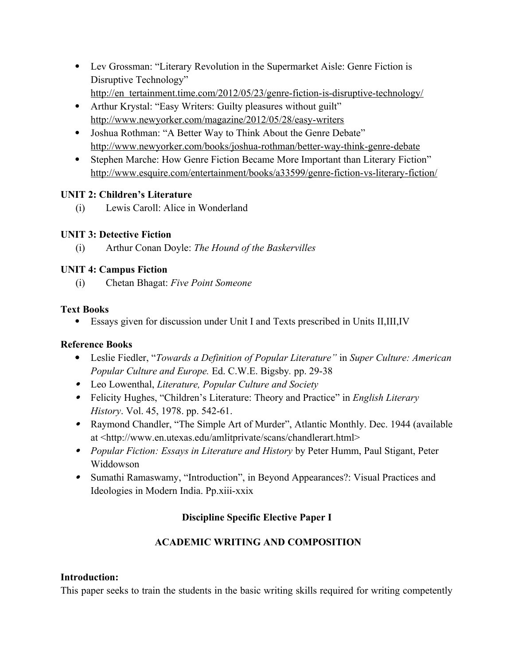- Lev Grossman: "Literary Revolution in the Supermarket Aisle: Genre Fiction is Disruptive Technology"
	- http://en tertainment.time.com/2012/05/23/genre-fiction-is-disruptive-technology/
- Arthur Krystal: "Easy Writers: Guilty pleasures without guilt" <http://www.newyorker.com/magazine/2012/05/28/easy-writers>
- Joshua Rothman: "A Better Way to Think About the Genre Debate" <http://www.newyorker.com/books/joshua-rothman/better-way-think-genre-debate>
- Stephen Marche: How Genre Fiction Became More Important than Literary Fiction" <http://www.esquire.com/entertainment/books/a33599/genre-fiction-vs-literary-fiction/>

## **UNIT 2: Children's Literature**

(i) Lewis Caroll: Alice in Wonderland

## **UNIT 3: Detective Fiction**

(i) Arthur Conan Doyle: *The Hound of the Baskervilles*

## **UNIT 4: Campus Fiction**

(i) Chetan Bhagat: *Five Point Someone* 

## **Text Books**

Essays given for discussion under Unit I and Texts prescribed in Units II,III,IV

## **Reference Books**

- Leslie Fiedler, "*Towards a Definition of Popular Literature"* in *Super Culture: American Popular Culture and Europe.* Ed. C.W.E. Bigsby*.* pp. 29-38
- Leo Lowenthal, *Literature, Popular Culture and Society*
- Felicity Hughes, "Children's Literature: Theory and Practice" in *English Literary History*. Vol. 45, 1978. pp. 542-61.
- Raymond Chandler, "The Simple Art of Murder", Atlantic Monthly. Dec. 1944 (available at <http://www.en.utexas.edu/amlitprivate/scans/chandlerart.html>
- *Popular Fiction: Essays in Literature and History* by Peter Humm, Paul Stigant, Peter Widdowson
- Sumathi Ramaswamy, "Introduction", in Beyond Appearances?: Visual Practices and Ideologies in Modern India. Pp.xiii-xxix

## **Discipline Specific Elective Paper I**

## **ACADEMIC WRITING AND COMPOSITION**

## **Introduction:**

This paper seeks to train the students in the basic writing skills required for writing competently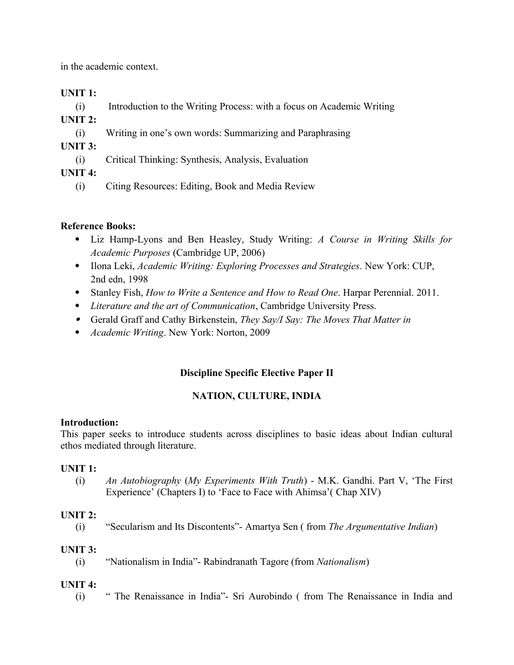in the academic context.

## **UNIT 1:**

(i) Introduction to the Writing Process: with a focus on Academic Writing

**UNIT 2:** 

(i) Writing in one's own words: Summarizing and Paraphrasing

## **UNIT 3:**

(i) Critical Thinking: Synthesis, Analysis, Evaluation

**UNIT 4:** 

(i) Citing Resources: Editing, Book and Media Review

## **Reference Books:**

- Liz Hamp-Lyons and Ben Heasley, Study Writing: *A Course in Writing Skills for Academic Purposes* (Cambridge UP, 2006)
- Ilona Leki, *Academic Writing: Exploring Processes and Strategies*. New York: CUP, 2nd edn, 1998
- Stanley Fish, *How to Write a Sentence and How to Read One*. Harpar Perennial. 2011.
- *Literature and the art of Communication*, Cambridge University Press.
- Gerald Graff and Cathy Birkenstein, *They Say/I Say: The Moves That Matter in*
- *Academic Writing*. New York: Norton, 2009

## **Discipline Specific Elective Paper II**

## **NATION, CULTURE, INDIA**

## **Introduction:**

This paper seeks to introduce students across disciplines to basic ideas about Indian cultural ethos mediated through literature.

## **UNIT 1:**

(i) *An Autobiography* (*My Experiments With Truth*) - M.K. Gandhi. Part V, 'The First Experience' (Chapters I) to 'Face to Face with Ahimsa'( Chap XIV)

## **UNIT 2:**

(i) "Secularism and Its Discontents"- Amartya Sen ( from *The Argumentative Indian*)

## **UNIT 3:**

## **UNIT 4:**

(i) " The Renaissance in India"- Sri Aurobindo ( from The Renaissance in India and

<sup>(</sup>i) "Nationalism in India"- Rabindranath Tagore (from *Nationalism*)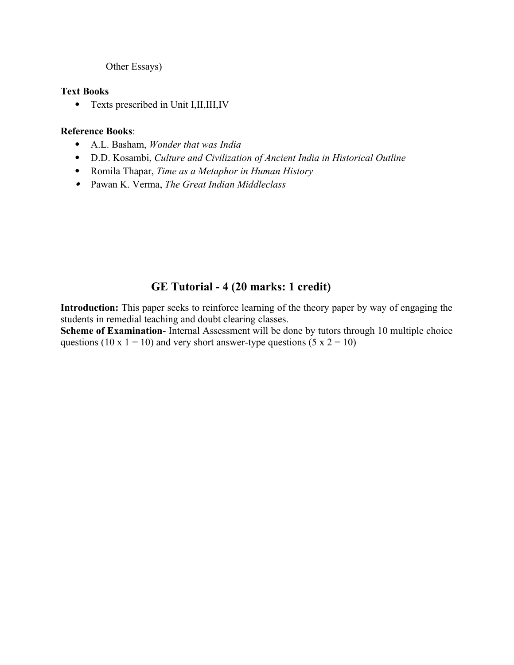#### Other Essays)

#### **Text Books**

• Texts prescribed in Unit I,II,III,IV

#### **Reference Books**:

- A.L. Basham, *Wonder that was India*
- D.D. Kosambi, *Culture and Civilization of Ancient India in Historical Outline*
- Romila Thapar, *Time as a Metaphor in Human History*
- Pawan K. Verma, *The Great Indian Middleclass*

## **GE Tutorial - 4 (20 marks: 1 credit)**

**Introduction:** This paper seeks to reinforce learning of the theory paper by way of engaging the students in remedial teaching and doubt clearing classes.

**Scheme of Examination**- Internal Assessment will be done by tutors through 10 multiple choice questions (10 x 1 = 10) and very short answer-type questions (5 x 2 = 10)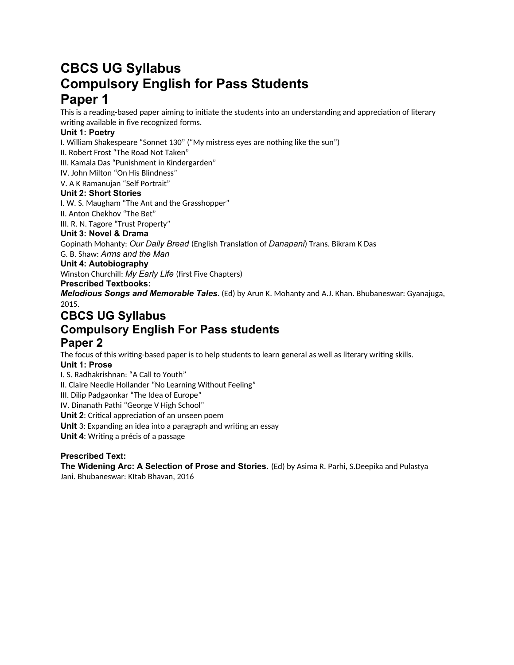## **CBCS UG Syllabus Compulsory English for Pass Students Paper 1**

This is a reading-based paper aiming to initiate the students into an understanding and appreciation of literary writing available in five recognized forms.

#### **Unit 1: Poetry**

I. William Shakespeare "Sonnet 130" ("My mistress eyes are nothing like the sun")

II. Robert Frost "The Road Not Taken"

III. Kamala Das "Punishment in Kindergarden"

IV. John Milton "On His Blindness"

V. A K Ramanujan "Self Portrait"

#### **Unit 2: Short Stories**

I. W. S. Maugham "The Ant and the Grasshopper"

II. Anton Chekhov "The Bet"

III. R. N. Tagore "Trust Property"

#### **Unit 3: Novel & Drama**

Gopinath Mohanty: *Our Daily Bread* (English Translation of *Danapani*) Trans. Bikram K Das

G. B. Shaw: *Arms and the Man*

#### **Unit 4: Autobiography**

Winston Churchill: *My Early Life* (first Five Chapters)

#### **Prescribed Textbooks:**

*Melodious Songs and Memorable Tales*. (Ed) by Arun K. Mohanty and A.J. Khan. Bhubaneswar: Gyanajuga, 2015.

## **CBCS UG Syllabus Compulsory English For Pass students Paper 2**

The focus of this writing-based paper is to help students to learn general as well as literary writing skills.

#### **Unit 1: Prose**

I. S. Radhakrishnan: "A Call to Youth"

II. Claire Needle Hollander "No Learning Without Feeling"

III. Dilip Padgaonkar "The Idea of Europe"

IV. Dinanath Pathi "George V High School"

**Unit 2**: Critical appreciation of an unseen poem

**Unit** 3: Expanding an idea into a paragraph and writing an essay

**Unit 4**: Writing a précis of a passage

#### **Prescribed Text:**

**The Widening Arc: A Selection of Prose and Stories.** (Ed) by Asima R. Parhi, S.Deepika and Pulastya Jani. Bhubaneswar: KItab Bhavan, 2016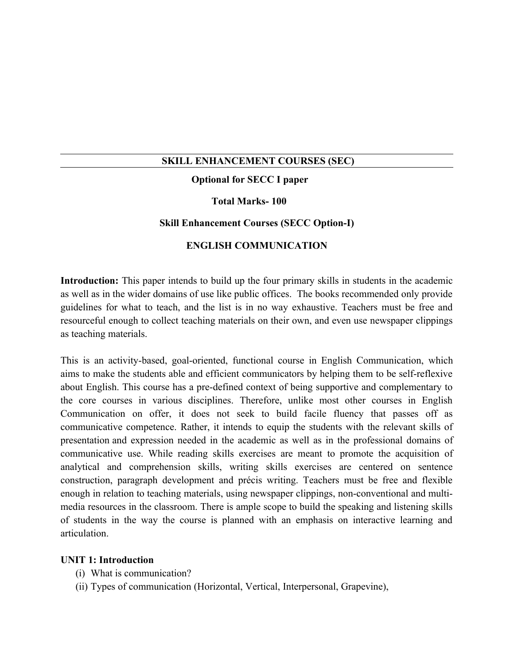## **SKILL ENHANCEMENT COURSES (SEC)**

## **Optional for SECC I paper**

## **Total Marks- 100**

#### **Skill Enhancement Courses (SECC Option-I)**

#### **ENGLISH COMMUNICATION**

**Introduction:** This paper intends to build up the four primary skills in students in the academic as well as in the wider domains of use like public offices. The books recommended only provide guidelines for what to teach, and the list is in no way exhaustive. Teachers must be free and resourceful enough to collect teaching materials on their own, and even use newspaper clippings as teaching materials.

This is an activity-based, goal-oriented, functional course in English Communication, which aims to make the students able and efficient communicators by helping them to be self-reflexive about English. This course has a pre-defined context of being supportive and complementary to the core courses in various disciplines. Therefore, unlike most other courses in English Communication on offer, it does not seek to build facile fluency that passes off as communicative competence. Rather, it intends to equip the students with the relevant skills of presentation and expression needed in the academic as well as in the professional domains of communicative use. While reading skills exercises are meant to promote the acquisition of analytical and comprehension skills, writing skills exercises are centered on sentence construction, paragraph development and précis writing. Teachers must be free and flexible enough in relation to teaching materials, using newspaper clippings, non-conventional and multimedia resources in the classroom. There is ample scope to build the speaking and listening skills of students in the way the course is planned with an emphasis on interactive learning and articulation.

#### **UNIT 1: Introduction**

- (i) What is communication?
- (ii) Types of communication (Horizontal, Vertical, Interpersonal, Grapevine),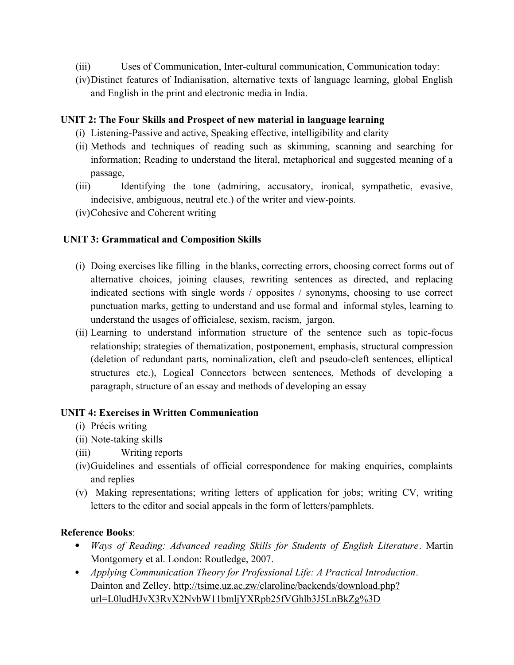- (iii) Uses of Communication, Inter-cultural communication, Communication today:
- (iv)Distinct features of Indianisation, alternative texts of language learning, global English and English in the print and electronic media in India.

## **UNIT 2: The Four Skills and Prospect of new material in language learning**

- (i) Listening-Passive and active, Speaking effective, intelligibility and clarity
- (ii) Methods and techniques of reading such as skimming, scanning and searching for information; Reading to understand the literal, metaphorical and suggested meaning of a passage,
- (iii) Identifying the tone (admiring, accusatory, ironical, sympathetic, evasive, indecisive, ambiguous, neutral etc.) of the writer and view-points.
- (iv)Cohesive and Coherent writing

## **UNIT 3: Grammatical and Composition Skills**

- (i) Doing exercises like filling in the blanks, correcting errors, choosing correct forms out of alternative choices, joining clauses, rewriting sentences as directed, and replacing indicated sections with single words / opposites / synonyms, choosing to use correct punctuation marks, getting to understand and use formal and informal styles, learning to understand the usages of officialese, sexism, racism, jargon.
- (ii) Learning to understand information structure of the sentence such as topic-focus relationship; strategies of thematization, postponement, emphasis, structural compression (deletion of redundant parts, nominalization, cleft and pseudo-cleft sentences, elliptical structures etc.), Logical Connectors between sentences, Methods of developing a paragraph, structure of an essay and methods of developing an essay

#### **UNIT 4: Exercises in Written Communication**

- (i) Précis writing
- (ii) Note-taking skills
- (iii) Writing reports
- (iv)Guidelines and essentials of official correspondence for making enquiries, complaints and replies
- (v) Making representations; writing letters of application for jobs; writing CV, writing letters to the editor and social appeals in the form of letters/pamphlets.

## **Reference Books**:

- *Ways of Reading: Advanced reading Skills for Students of English Literature*. Martin Montgomery et al. London: Routledge, 2007.
- *Applying Communication Theory for Professional Life: A Practical Introduction*. Dainton and Zelley, [http://tsime.uz.ac.zw/claroline/backends/download.php?](http://tsime.uz.ac.zw/claroline/backends/download.php?url=L0ludHJvX3RvX2NvbW11bmljYXRpb25fVGhlb3J5LnBkZg%3D%3D&cidReset=true&cidReq=MBA563) [url=L0ludHJvX3RvX2NvbW11bmljYXRpb25fVGhlb3J5LnBkZg%3D](http://tsime.uz.ac.zw/claroline/backends/download.php?url=L0ludHJvX3RvX2NvbW11bmljYXRpb25fVGhlb3J5LnBkZg%3D%3D&cidReset=true&cidReq=MBA563)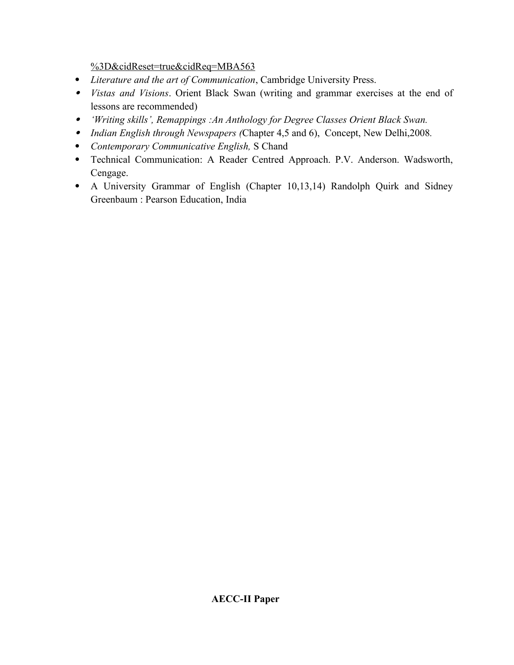[%3D&cidReset=true&cidReq=MBA563](http://tsime.uz.ac.zw/claroline/backends/download.php?url=L0ludHJvX3RvX2NvbW11bmljYXRpb25fVGhlb3J5LnBkZg%3D%3D&cidReset=true&cidReq=MBA563)

- *Literature and the art of Communication*, Cambridge University Press.
- *Vistas and Visions*. Orient Black Swan (writing and grammar exercises at the end of lessons are recommended)
- *'Writing skills', Remappings :An Anthology for Degree Classes Orient Black Swan.*
- *Indian English through Newspapers (*Chapter 4,5 and 6), Concept, New Delhi,2008*.*
- *Contemporary Communicative English,* S Chand
- Technical Communication: A Reader Centred Approach. P.V. Anderson. Wadsworth, Cengage.
- A University Grammar of English (Chapter 10,13,14) Randolph Quirk and Sidney Greenbaum : Pearson Education, India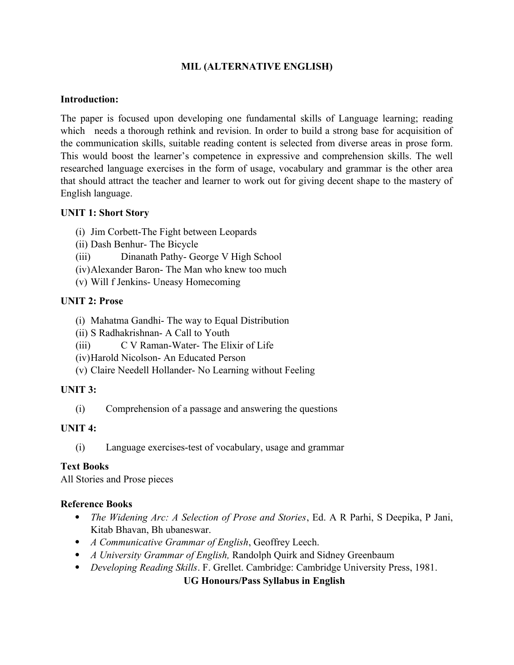## **MIL (ALTERNATIVE ENGLISH)**

## **Introduction:**

The paper is focused upon developing one fundamental skills of Language learning; reading which needs a thorough rethink and revision. In order to build a strong base for acquisition of the communication skills, suitable reading content is selected from diverse areas in prose form. This would boost the learner's competence in expressive and comprehension skills. The well researched language exercises in the form of usage, vocabulary and grammar is the other area that should attract the teacher and learner to work out for giving decent shape to the mastery of English language.

## **UNIT 1: Short Story**

- (i) Jim Corbett-The Fight between Leopards
- (ii) Dash Benhur- The Bicycle
- (iii) Dinanath Pathy- George V High School
- (iv)Alexander Baron- The Man who knew too much
- (v) Will f Jenkins- Uneasy Homecoming

## **UNIT 2: Prose**

- (i) Mahatma Gandhi- The way to Equal Distribution
- (ii) S Radhakrishnan- A Call to Youth
- (iii) C V Raman-Water- The Elixir of Life
- (iv)Harold Nicolson- An Educated Person
- (v) Claire Needell Hollander- No Learning without Feeling

## **UNIT 3:**

(i) Comprehension of a passage and answering the questions

## **UNIT 4:**

(i) Language exercises-test of vocabulary, usage and grammar

## **Text Books**

All Stories and Prose pieces

## **Reference Books**

- *The Widening Arc: A Selection of Prose and Stories*, Ed. A R Parhi, S Deepika, P Jani, Kitab Bhavan, Bh ubaneswar.
- *A Communicative Grammar of English*, Geoffrey Leech.
- *A University Grammar of English,* Randolph Quirk and Sidney Greenbaum
- *Developing Reading Skills*. F. Grellet. Cambridge: Cambridge University Press, 1981.

**UG Honours/Pass Syllabus in English**